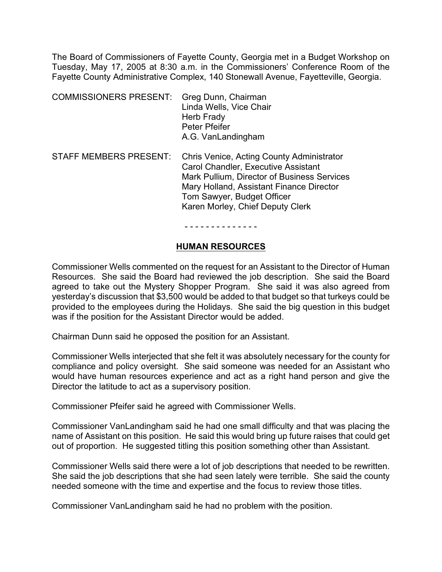The Board of Commissioners of Fayette County, Georgia met in a Budget Workshop on Tuesday, May 17, 2005 at 8:30 a.m. in the Commissioners' Conference Room of the Fayette County Administrative Complex, 140 Stonewall Avenue, Fayetteville, Georgia.

| <b>COMMISSIONERS PRESENT:</b> | Greg Dunn, Chairman     |
|-------------------------------|-------------------------|
|                               | Linda Wells, Vice Chair |
|                               | Herb Frady              |
|                               | Peter Pfeifer           |
|                               | A.G. VanLandingham      |
|                               |                         |

STAFF MEMBERS PRESENT: Chris Venice, Acting County Administrator Carol Chandler, Executive Assistant Mark Pullium, Director of Business Services Mary Holland, Assistant Finance Director Tom Sawyer, Budget Officer Karen Morley, Chief Deputy Clerk

- - - - - - - - - - - - - -

#### **HUMAN RESOURCES**

Commissioner Wells commented on the request for an Assistant to the Director of Human Resources. She said the Board had reviewed the job description. She said the Board agreed to take out the Mystery Shopper Program. She said it was also agreed from yesterday's discussion that \$3,500 would be added to that budget so that turkeys could be provided to the employees during the Holidays. She said the big question in this budget was if the position for the Assistant Director would be added.

Chairman Dunn said he opposed the position for an Assistant.

Commissioner Wells interjected that she felt it was absolutely necessary for the county for compliance and policy oversight. She said someone was needed for an Assistant who would have human resources experience and act as a right hand person and give the Director the latitude to act as a supervisory position.

Commissioner Pfeifer said he agreed with Commissioner Wells.

Commissioner VanLandingham said he had one small difficulty and that was placing the name of Assistant on this position. He said this would bring up future raises that could get out of proportion. He suggested titling this position something other than Assistant.

Commissioner Wells said there were a lot of job descriptions that needed to be rewritten. She said the job descriptions that she had seen lately were terrible. She said the county needed someone with the time and expertise and the focus to review those titles.

Commissioner VanLandingham said he had no problem with the position.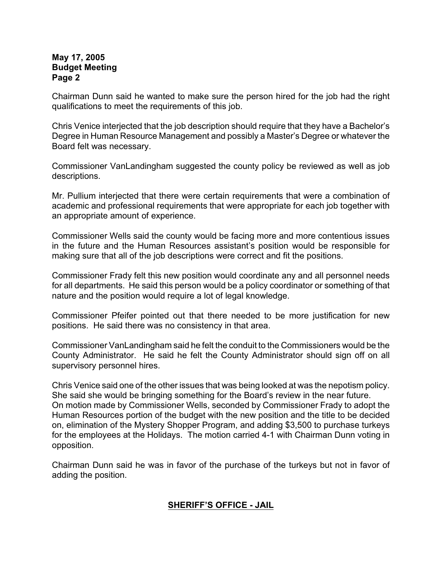Chairman Dunn said he wanted to make sure the person hired for the job had the right qualifications to meet the requirements of this job.

Chris Venice interjected that the job description should require that they have a Bachelor's Degree in Human Resource Management and possibly a Master's Degree or whatever the Board felt was necessary.

Commissioner VanLandingham suggested the county policy be reviewed as well as job descriptions.

Mr. Pullium interjected that there were certain requirements that were a combination of academic and professional requirements that were appropriate for each job together with an appropriate amount of experience.

Commissioner Wells said the county would be facing more and more contentious issues in the future and the Human Resources assistant's position would be responsible for making sure that all of the job descriptions were correct and fit the positions.

Commissioner Frady felt this new position would coordinate any and all personnel needs for all departments. He said this person would be a policy coordinator or something of that nature and the position would require a lot of legal knowledge.

Commissioner Pfeifer pointed out that there needed to be more justification for new positions. He said there was no consistency in that area.

Commissioner VanLandingham said he felt the conduit to the Commissioners would be the County Administrator. He said he felt the County Administrator should sign off on all supervisory personnel hires.

Chris Venice said one of the other issues that was being looked at was the nepotism policy. She said she would be bringing something for the Board's review in the near future. On motion made by Commissioner Wells, seconded by Commissioner Frady to adopt the Human Resources portion of the budget with the new position and the title to be decided on, elimination of the Mystery Shopper Program, and adding \$3,500 to purchase turkeys for the employees at the Holidays. The motion carried 4-1 with Chairman Dunn voting in opposition.

Chairman Dunn said he was in favor of the purchase of the turkeys but not in favor of adding the position.

# **SHERIFF'S OFFICE - JAIL**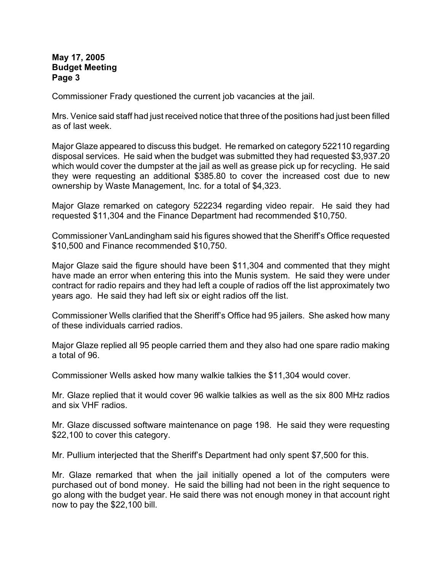Commissioner Frady questioned the current job vacancies at the jail.

Mrs. Venice said staff had just received notice that three of the positions had just been filled as of last week.

Major Glaze appeared to discuss this budget. He remarked on category 522110 regarding disposal services. He said when the budget was submitted they had requested \$3,937.20 which would cover the dumpster at the jail as well as grease pick up for recycling. He said they were requesting an additional \$385.80 to cover the increased cost due to new ownership by Waste Management, Inc. for a total of \$4,323.

Major Glaze remarked on category 522234 regarding video repair. He said they had requested \$11,304 and the Finance Department had recommended \$10,750.

Commissioner VanLandingham said his figures showed that the Sheriff's Office requested \$10,500 and Finance recommended \$10,750.

Major Glaze said the figure should have been \$11,304 and commented that they might have made an error when entering this into the Munis system. He said they were under contract for radio repairs and they had left a couple of radios off the list approximately two years ago. He said they had left six or eight radios off the list.

Commissioner Wells clarified that the Sheriff's Office had 95 jailers. She asked how many of these individuals carried radios.

Major Glaze replied all 95 people carried them and they also had one spare radio making a total of 96.

Commissioner Wells asked how many walkie talkies the \$11,304 would cover.

Mr. Glaze replied that it would cover 96 walkie talkies as well as the six 800 MHz radios and six VHF radios.

Mr. Glaze discussed software maintenance on page 198. He said they were requesting \$22,100 to cover this category.

Mr. Pullium interjected that the Sheriff's Department had only spent \$7,500 for this.

Mr. Glaze remarked that when the jail initially opened a lot of the computers were purchased out of bond money. He said the billing had not been in the right sequence to go along with the budget year. He said there was not enough money in that account right now to pay the \$22,100 bill.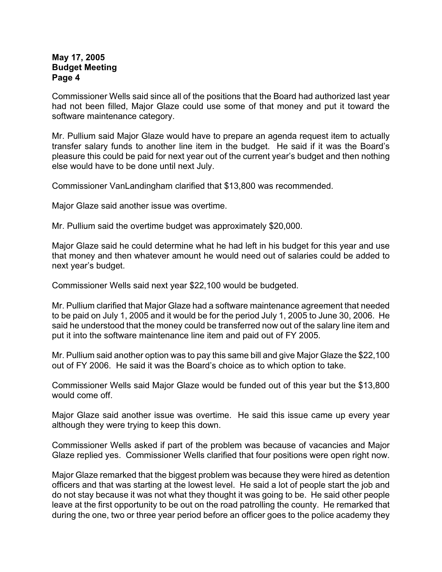Commissioner Wells said since all of the positions that the Board had authorized last year had not been filled, Major Glaze could use some of that money and put it toward the software maintenance category.

Mr. Pullium said Major Glaze would have to prepare an agenda request item to actually transfer salary funds to another line item in the budget. He said if it was the Board's pleasure this could be paid for next year out of the current year's budget and then nothing else would have to be done until next July.

Commissioner VanLandingham clarified that \$13,800 was recommended.

Major Glaze said another issue was overtime.

Mr. Pullium said the overtime budget was approximately \$20,000.

Major Glaze said he could determine what he had left in his budget for this year and use that money and then whatever amount he would need out of salaries could be added to next year's budget.

Commissioner Wells said next year \$22,100 would be budgeted.

Mr. Pullium clarified that Major Glaze had a software maintenance agreement that needed to be paid on July 1, 2005 and it would be for the period July 1, 2005 to June 30, 2006. He said he understood that the money could be transferred now out of the salary line item and put it into the software maintenance line item and paid out of FY 2005.

Mr. Pullium said another option was to pay this same bill and give Major Glaze the \$22,100 out of FY 2006. He said it was the Board's choice as to which option to take.

Commissioner Wells said Major Glaze would be funded out of this year but the \$13,800 would come off.

Major Glaze said another issue was overtime. He said this issue came up every year although they were trying to keep this down.

Commissioner Wells asked if part of the problem was because of vacancies and Major Glaze replied yes. Commissioner Wells clarified that four positions were open right now.

Major Glaze remarked that the biggest problem was because they were hired as detention officers and that was starting at the lowest level. He said a lot of people start the job and do not stay because it was not what they thought it was going to be. He said other people leave at the first opportunity to be out on the road patrolling the county. He remarked that during the one, two or three year period before an officer goes to the police academy they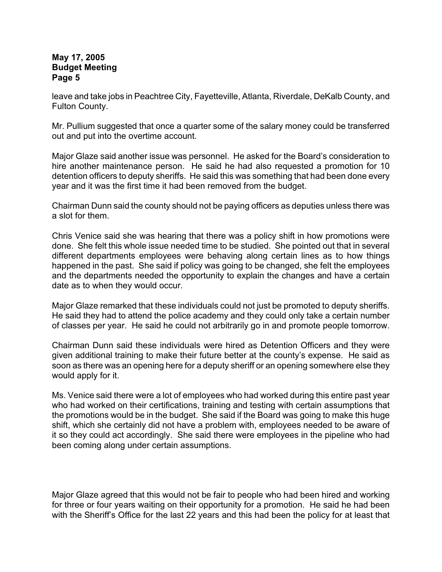leave and take jobs in Peachtree City, Fayetteville, Atlanta, Riverdale, DeKalb County, and Fulton County.

Mr. Pullium suggested that once a quarter some of the salary money could be transferred out and put into the overtime account.

Major Glaze said another issue was personnel. He asked for the Board's consideration to hire another maintenance person. He said he had also requested a promotion for 10 detention officers to deputy sheriffs. He said this was something that had been done every year and it was the first time it had been removed from the budget.

Chairman Dunn said the county should not be paying officers as deputies unless there was a slot for them.

Chris Venice said she was hearing that there was a policy shift in how promotions were done. She felt this whole issue needed time to be studied. She pointed out that in several different departments employees were behaving along certain lines as to how things happened in the past. She said if policy was going to be changed, she felt the employees and the departments needed the opportunity to explain the changes and have a certain date as to when they would occur.

Major Glaze remarked that these individuals could not just be promoted to deputy sheriffs. He said they had to attend the police academy and they could only take a certain number of classes per year. He said he could not arbitrarily go in and promote people tomorrow.

Chairman Dunn said these individuals were hired as Detention Officers and they were given additional training to make their future better at the county's expense. He said as soon as there was an opening here for a deputy sheriff or an opening somewhere else they would apply for it.

Ms. Venice said there were a lot of employees who had worked during this entire past year who had worked on their certifications, training and testing with certain assumptions that the promotions would be in the budget. She said if the Board was going to make this huge shift, which she certainly did not have a problem with, employees needed to be aware of it so they could act accordingly. She said there were employees in the pipeline who had been coming along under certain assumptions.

Major Glaze agreed that this would not be fair to people who had been hired and working for three or four years waiting on their opportunity for a promotion. He said he had been with the Sheriff's Office for the last 22 years and this had been the policy for at least that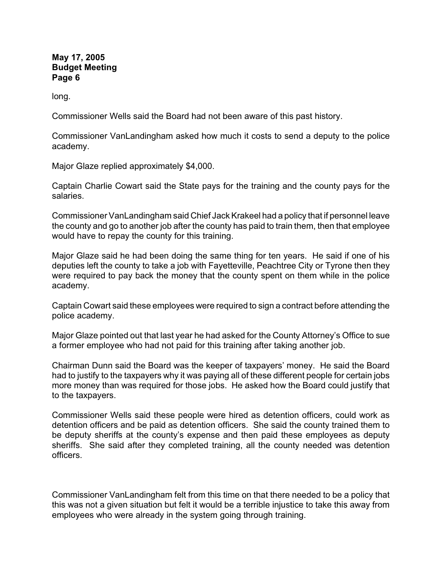long.

Commissioner Wells said the Board had not been aware of this past history.

Commissioner VanLandingham asked how much it costs to send a deputy to the police academy.

Major Glaze replied approximately \$4,000.

Captain Charlie Cowart said the State pays for the training and the county pays for the salaries.

Commissioner VanLandingham said Chief Jack Krakeel had a policy that if personnel leave the county and go to another job after the county has paid to train them, then that employee would have to repay the county for this training.

Major Glaze said he had been doing the same thing for ten years. He said if one of his deputies left the county to take a job with Fayetteville, Peachtree City or Tyrone then they were required to pay back the money that the county spent on them while in the police academy.

Captain Cowart said these employees were required to sign a contract before attending the police academy.

Major Glaze pointed out that last year he had asked for the County Attorney's Office to sue a former employee who had not paid for this training after taking another job.

Chairman Dunn said the Board was the keeper of taxpayers' money. He said the Board had to justify to the taxpayers why it was paying all of these different people for certain jobs more money than was required for those jobs. He asked how the Board could justify that to the taxpayers.

Commissioner Wells said these people were hired as detention officers, could work as detention officers and be paid as detention officers. She said the county trained them to be deputy sheriffs at the county's expense and then paid these employees as deputy sheriffs. She said after they completed training, all the county needed was detention officers.

Commissioner VanLandingham felt from this time on that there needed to be a policy that this was not a given situation but felt it would be a terrible injustice to take this away from employees who were already in the system going through training.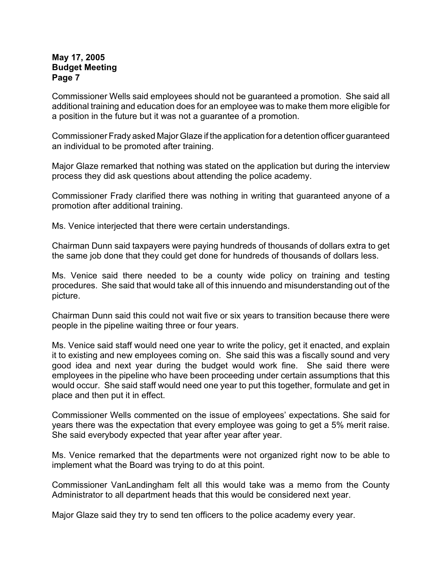Commissioner Wells said employees should not be guaranteed a promotion. She said all additional training and education does for an employee was to make them more eligible for a position in the future but it was not a guarantee of a promotion.

Commissioner Frady asked Major Glaze if the application for a detention officer guaranteed an individual to be promoted after training.

Major Glaze remarked that nothing was stated on the application but during the interview process they did ask questions about attending the police academy.

Commissioner Frady clarified there was nothing in writing that guaranteed anyone of a promotion after additional training.

Ms. Venice interjected that there were certain understandings.

Chairman Dunn said taxpayers were paying hundreds of thousands of dollars extra to get the same job done that they could get done for hundreds of thousands of dollars less.

Ms. Venice said there needed to be a county wide policy on training and testing procedures. She said that would take all of this innuendo and misunderstanding out of the picture.

Chairman Dunn said this could not wait five or six years to transition because there were people in the pipeline waiting three or four years.

Ms. Venice said staff would need one year to write the policy, get it enacted, and explain it to existing and new employees coming on. She said this was a fiscally sound and very good idea and next year during the budget would work fine. She said there were employees in the pipeline who have been proceeding under certain assumptions that this would occur. She said staff would need one year to put this together, formulate and get in place and then put it in effect.

Commissioner Wells commented on the issue of employees' expectations. She said for years there was the expectation that every employee was going to get a 5% merit raise. She said everybody expected that year after year after year.

Ms. Venice remarked that the departments were not organized right now to be able to implement what the Board was trying to do at this point.

Commissioner VanLandingham felt all this would take was a memo from the County Administrator to all department heads that this would be considered next year.

Major Glaze said they try to send ten officers to the police academy every year.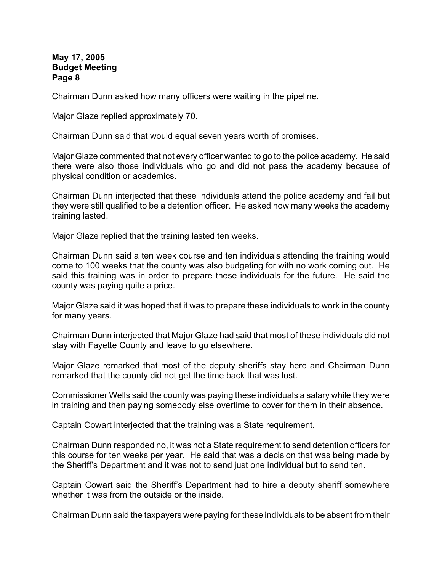Chairman Dunn asked how many officers were waiting in the pipeline.

Major Glaze replied approximately 70.

Chairman Dunn said that would equal seven years worth of promises.

Major Glaze commented that not every officer wanted to go to the police academy. He said there were also those individuals who go and did not pass the academy because of physical condition or academics.

Chairman Dunn interjected that these individuals attend the police academy and fail but they were still qualified to be a detention officer. He asked how many weeks the academy training lasted.

Major Glaze replied that the training lasted ten weeks.

Chairman Dunn said a ten week course and ten individuals attending the training would come to 100 weeks that the county was also budgeting for with no work coming out. He said this training was in order to prepare these individuals for the future. He said the county was paying quite a price.

Major Glaze said it was hoped that it was to prepare these individuals to work in the county for many years.

Chairman Dunn interjected that Major Glaze had said that most of these individuals did not stay with Fayette County and leave to go elsewhere.

Major Glaze remarked that most of the deputy sheriffs stay here and Chairman Dunn remarked that the county did not get the time back that was lost.

Commissioner Wells said the county was paying these individuals a salary while they were in training and then paying somebody else overtime to cover for them in their absence.

Captain Cowart interjected that the training was a State requirement.

Chairman Dunn responded no, it was not a State requirement to send detention officers for this course for ten weeks per year. He said that was a decision that was being made by the Sheriff's Department and it was not to send just one individual but to send ten.

Captain Cowart said the Sheriff's Department had to hire a deputy sheriff somewhere whether it was from the outside or the inside.

Chairman Dunn said the taxpayers were paying for these individuals to be absent from their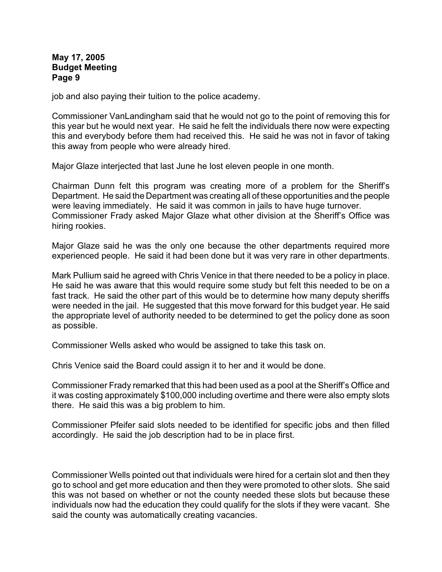job and also paying their tuition to the police academy.

Commissioner VanLandingham said that he would not go to the point of removing this for this year but he would next year. He said he felt the individuals there now were expecting this and everybody before them had received this. He said he was not in favor of taking this away from people who were already hired.

Major Glaze interjected that last June he lost eleven people in one month.

Chairman Dunn felt this program was creating more of a problem for the Sheriff's Department. He said the Department was creating all of these opportunities and the people were leaving immediately. He said it was common in jails to have huge turnover. Commissioner Frady asked Major Glaze what other division at the Sheriff's Office was hiring rookies.

Major Glaze said he was the only one because the other departments required more experienced people. He said it had been done but it was very rare in other departments.

Mark Pullium said he agreed with Chris Venice in that there needed to be a policy in place. He said he was aware that this would require some study but felt this needed to be on a fast track. He said the other part of this would be to determine how many deputy sheriffs were needed in the jail. He suggested that this move forward for this budget year. He said the appropriate level of authority needed to be determined to get the policy done as soon as possible.

Commissioner Wells asked who would be assigned to take this task on.

Chris Venice said the Board could assign it to her and it would be done.

Commissioner Frady remarked that this had been used as a pool at the Sheriff's Office and it was costing approximately \$100,000 including overtime and there were also empty slots there. He said this was a big problem to him.

Commissioner Pfeifer said slots needed to be identified for specific jobs and then filled accordingly. He said the job description had to be in place first.

Commissioner Wells pointed out that individuals were hired for a certain slot and then they go to school and get more education and then they were promoted to other slots. She said this was not based on whether or not the county needed these slots but because these individuals now had the education they could qualify for the slots if they were vacant. She said the county was automatically creating vacancies.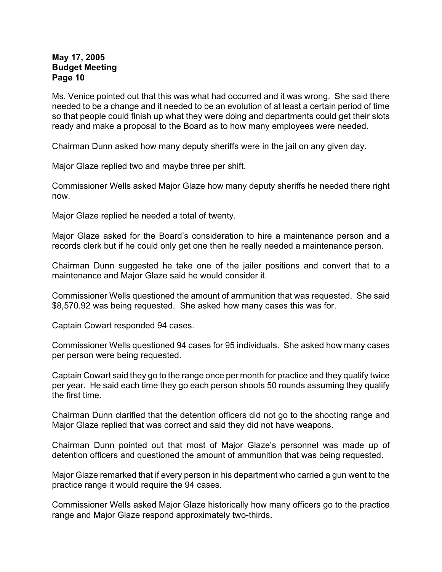Ms. Venice pointed out that this was what had occurred and it was wrong. She said there needed to be a change and it needed to be an evolution of at least a certain period of time so that people could finish up what they were doing and departments could get their slots ready and make a proposal to the Board as to how many employees were needed.

Chairman Dunn asked how many deputy sheriffs were in the jail on any given day.

Major Glaze replied two and maybe three per shift.

Commissioner Wells asked Major Glaze how many deputy sheriffs he needed there right now.

Major Glaze replied he needed a total of twenty.

Major Glaze asked for the Board's consideration to hire a maintenance person and a records clerk but if he could only get one then he really needed a maintenance person.

Chairman Dunn suggested he take one of the jailer positions and convert that to a maintenance and Major Glaze said he would consider it.

Commissioner Wells questioned the amount of ammunition that was requested. She said \$8,570.92 was being requested. She asked how many cases this was for.

Captain Cowart responded 94 cases.

Commissioner Wells questioned 94 cases for 95 individuals. She asked how many cases per person were being requested.

Captain Cowart said they go to the range once per month for practice and they qualify twice per year. He said each time they go each person shoots 50 rounds assuming they qualify the first time.

Chairman Dunn clarified that the detention officers did not go to the shooting range and Major Glaze replied that was correct and said they did not have weapons.

Chairman Dunn pointed out that most of Major Glaze's personnel was made up of detention officers and questioned the amount of ammunition that was being requested.

Major Glaze remarked that if every person in his department who carried a gun went to the practice range it would require the 94 cases.

Commissioner Wells asked Major Glaze historically how many officers go to the practice range and Major Glaze respond approximately two-thirds.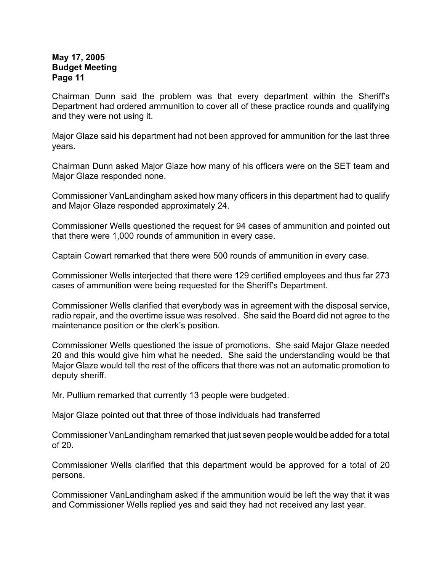Chairman Dunn said the problem was that every department within the Sheriff's Department had ordered ammunition to cover all of these practice rounds and qualifying and they were not using it.

Major Glaze said his department had not been approved for ammunition for the last three years.

Chairman Dunn asked Major Glaze how many of his officers were on the SET team and Major Glaze responded none.

Commissioner VanLandingham asked how many officers in this department had to qualify and Major Glaze responded approximately 24.

Commissioner Wells questioned the request for 94 cases of ammunition and pointed out that there were 1,000 rounds of ammunition in every case.

Captain Cowart remarked that there were 500 rounds of ammunition in every case.

Commissioner Wells interjected that there were 129 certified employees and thus far 273 cases of ammunition were being requested for the Sheriff's Department.

Commissioner Wells clarified that everybody was in agreement with the disposal service, radio repair, and the overtime issue was resolved. She said the Board did not agree to the maintenance position or the clerk's position.

Commissioner Wells questioned the issue of promotions. She said Major Glaze needed 20 and this would give him what he needed. She said the understanding would be that Major Glaze would tell the rest of the officers that there was not an automatic promotion to deputy sheriff.

Mr. Pullium remarked that currently 13 people were budgeted.

Major Glaze pointed out that three of those individuals had transferred

Commissioner VanLandingham remarked that just seven people would be added for a total of 20.

Commissioner Wells clarified that this department would be approved for a total of 20 persons.

Commissioner VanLandingham asked if the ammunition would be left the way that it was and Commissioner Wells replied yes and said they had not received any last year.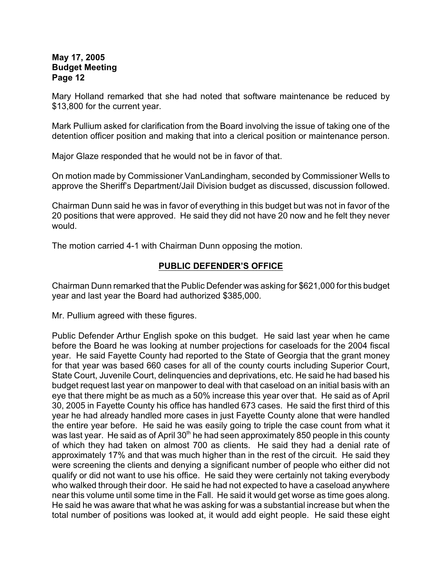Mary Holland remarked that she had noted that software maintenance be reduced by \$13,800 for the current year.

Mark Pullium asked for clarification from the Board involving the issue of taking one of the detention officer position and making that into a clerical position or maintenance person.

Major Glaze responded that he would not be in favor of that.

On motion made by Commissioner VanLandingham, seconded by Commissioner Wells to approve the Sheriff's Department/Jail Division budget as discussed, discussion followed.

Chairman Dunn said he was in favor of everything in this budget but was not in favor of the 20 positions that were approved. He said they did not have 20 now and he felt they never would.

The motion carried 4-1 with Chairman Dunn opposing the motion.

## **PUBLIC DEFENDER'S OFFICE**

Chairman Dunn remarked that the Public Defender was asking for \$621,000 for this budget year and last year the Board had authorized \$385,000.

Mr. Pullium agreed with these figures.

Public Defender Arthur English spoke on this budget. He said last year when he came before the Board he was looking at number projections for caseloads for the 2004 fiscal year. He said Fayette County had reported to the State of Georgia that the grant money for that year was based 660 cases for all of the county courts including Superior Court, State Court, Juvenile Court, delinquencies and deprivations, etc. He said he had based his budget request last year on manpower to deal with that caseload on an initial basis with an eye that there might be as much as a 50% increase this year over that. He said as of April 30, 2005 in Fayette County his office has handled 673 cases. He said the first third of this year he had already handled more cases in just Fayette County alone that were handled the entire year before. He said he was easily going to triple the case count from what it was last year. He said as of April  $30<sup>th</sup>$  he had seen approximately 850 people in this county of which they had taken on almost 700 as clients. He said they had a denial rate of approximately 17% and that was much higher than in the rest of the circuit. He said they were screening the clients and denying a significant number of people who either did not qualify or did not want to use his office. He said they were certainly not taking everybody who walked through their door. He said he had not expected to have a caseload anywhere near this volume until some time in the Fall. He said it would get worse as time goes along. He said he was aware that what he was asking for was a substantial increase but when the total number of positions was looked at, it would add eight people. He said these eight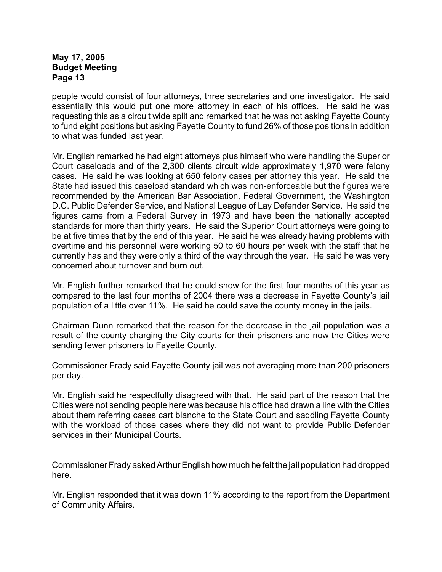people would consist of four attorneys, three secretaries and one investigator. He said essentially this would put one more attorney in each of his offices. He said he was requesting this as a circuit wide split and remarked that he was not asking Fayette County to fund eight positions but asking Fayette County to fund 26% of those positions in addition to what was funded last year.

Mr. English remarked he had eight attorneys plus himself who were handling the Superior Court caseloads and of the 2,300 clients circuit wide approximately 1,970 were felony cases. He said he was looking at 650 felony cases per attorney this year. He said the State had issued this caseload standard which was non-enforceable but the figures were recommended by the American Bar Association, Federal Government, the Washington D.C. Public Defender Service, and National League of Lay Defender Service. He said the figures came from a Federal Survey in 1973 and have been the nationally accepted standards for more than thirty years. He said the Superior Court attorneys were going to be at five times that by the end of this year. He said he was already having problems with overtime and his personnel were working 50 to 60 hours per week with the staff that he currently has and they were only a third of the way through the year. He said he was very concerned about turnover and burn out.

Mr. English further remarked that he could show for the first four months of this year as compared to the last four months of 2004 there was a decrease in Fayette County's jail population of a little over 11%. He said he could save the county money in the jails.

Chairman Dunn remarked that the reason for the decrease in the jail population was a result of the county charging the City courts for their prisoners and now the Cities were sending fewer prisoners to Fayette County.

Commissioner Frady said Fayette County jail was not averaging more than 200 prisoners per day.

Mr. English said he respectfully disagreed with that. He said part of the reason that the Cities were not sending people here was because his office had drawn a line with the Cities about them referring cases cart blanche to the State Court and saddling Fayette County with the workload of those cases where they did not want to provide Public Defender services in their Municipal Courts.

Commissioner Frady asked Arthur English how much he felt the jail population had dropped here.

Mr. English responded that it was down 11% according to the report from the Department of Community Affairs.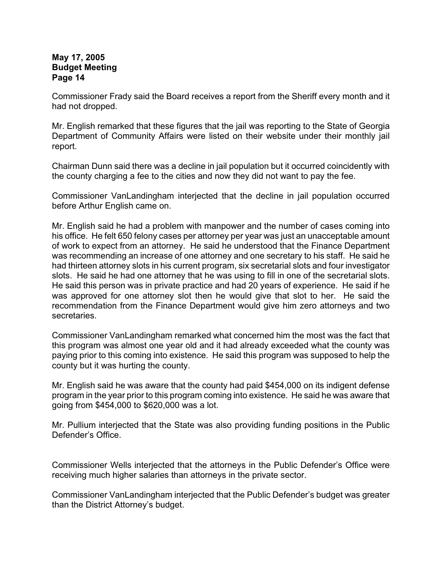Commissioner Frady said the Board receives a report from the Sheriff every month and it had not dropped.

Mr. English remarked that these figures that the jail was reporting to the State of Georgia Department of Community Affairs were listed on their website under their monthly jail report.

Chairman Dunn said there was a decline in jail population but it occurred coincidently with the county charging a fee to the cities and now they did not want to pay the fee.

Commissioner VanLandingham interjected that the decline in jail population occurred before Arthur English came on.

Mr. English said he had a problem with manpower and the number of cases coming into his office. He felt 650 felony cases per attorney per year was just an unacceptable amount of work to expect from an attorney. He said he understood that the Finance Department was recommending an increase of one attorney and one secretary to his staff. He said he had thirteen attorney slots in his current program, six secretarial slots and four investigator slots. He said he had one attorney that he was using to fill in one of the secretarial slots. He said this person was in private practice and had 20 years of experience. He said if he was approved for one attorney slot then he would give that slot to her. He said the recommendation from the Finance Department would give him zero attorneys and two secretaries.

Commissioner VanLandingham remarked what concerned him the most was the fact that this program was almost one year old and it had already exceeded what the county was paying prior to this coming into existence. He said this program was supposed to help the county but it was hurting the county.

Mr. English said he was aware that the county had paid \$454,000 on its indigent defense program in the year prior to this program coming into existence. He said he was aware that going from \$454,000 to \$620,000 was a lot.

Mr. Pullium interjected that the State was also providing funding positions in the Public Defender's Office.

Commissioner Wells interjected that the attorneys in the Public Defender's Office were receiving much higher salaries than attorneys in the private sector.

Commissioner VanLandingham interjected that the Public Defender's budget was greater than the District Attorney's budget.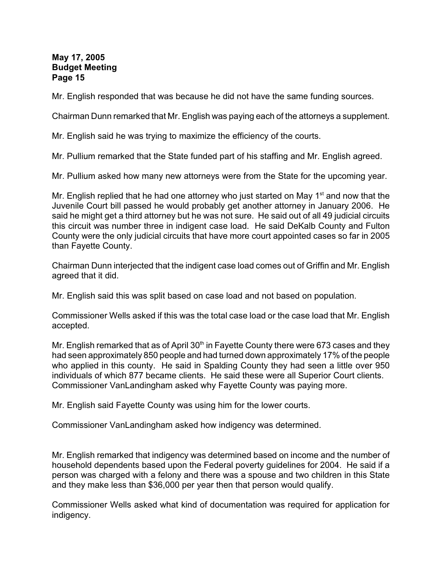Mr. English responded that was because he did not have the same funding sources.

Chairman Dunn remarked that Mr. English was paying each of the attorneys a supplement.

Mr. English said he was trying to maximize the efficiency of the courts.

Mr. Pullium remarked that the State funded part of his staffing and Mr. English agreed.

Mr. Pullium asked how many new attorneys were from the State for the upcoming year.

Mr. English replied that he had one attorney who just started on May  $1<sup>st</sup>$  and now that the Juvenile Court bill passed he would probably get another attorney in January 2006. He said he might get a third attorney but he was not sure. He said out of all 49 judicial circuits this circuit was number three in indigent case load. He said DeKalb County and Fulton County were the only judicial circuits that have more court appointed cases so far in 2005 than Fayette County.

Chairman Dunn interjected that the indigent case load comes out of Griffin and Mr. English agreed that it did.

Mr. English said this was split based on case load and not based on population.

Commissioner Wells asked if this was the total case load or the case load that Mr. English accepted.

Mr. English remarked that as of April  $30<sup>th</sup>$  in Fayette County there were 673 cases and they had seen approximately 850 people and had turned down approximately 17% of the people who applied in this county. He said in Spalding County they had seen a little over 950 individuals of which 877 became clients. He said these were all Superior Court clients. Commissioner VanLandingham asked why Fayette County was paying more.

Mr. English said Fayette County was using him for the lower courts.

Commissioner VanLandingham asked how indigency was determined.

Mr. English remarked that indigency was determined based on income and the number of household dependents based upon the Federal poverty guidelines for 2004. He said if a person was charged with a felony and there was a spouse and two children in this State and they make less than \$36,000 per year then that person would qualify.

Commissioner Wells asked what kind of documentation was required for application for indigency.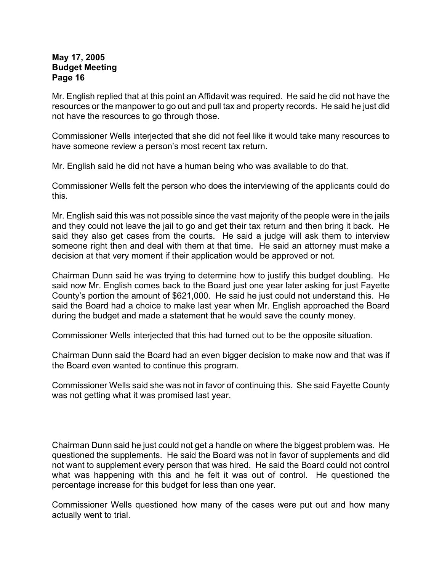Mr. English replied that at this point an Affidavit was required. He said he did not have the resources or the manpower to go out and pull tax and property records. He said he just did not have the resources to go through those.

Commissioner Wells interjected that she did not feel like it would take many resources to have someone review a person's most recent tax return.

Mr. English said he did not have a human being who was available to do that.

Commissioner Wells felt the person who does the interviewing of the applicants could do this.

Mr. English said this was not possible since the vast majority of the people were in the jails and they could not leave the jail to go and get their tax return and then bring it back. He said they also get cases from the courts. He said a judge will ask them to interview someone right then and deal with them at that time. He said an attorney must make a decision at that very moment if their application would be approved or not.

Chairman Dunn said he was trying to determine how to justify this budget doubling. He said now Mr. English comes back to the Board just one year later asking for just Fayette County's portion the amount of \$621,000. He said he just could not understand this. He said the Board had a choice to make last year when Mr. English approached the Board during the budget and made a statement that he would save the county money.

Commissioner Wells interjected that this had turned out to be the opposite situation.

Chairman Dunn said the Board had an even bigger decision to make now and that was if the Board even wanted to continue this program.

Commissioner Wells said she was not in favor of continuing this. She said Fayette County was not getting what it was promised last year.

Chairman Dunn said he just could not get a handle on where the biggest problem was. He questioned the supplements. He said the Board was not in favor of supplements and did not want to supplement every person that was hired. He said the Board could not control what was happening with this and he felt it was out of control. He questioned the percentage increase for this budget for less than one year.

Commissioner Wells questioned how many of the cases were put out and how many actually went to trial.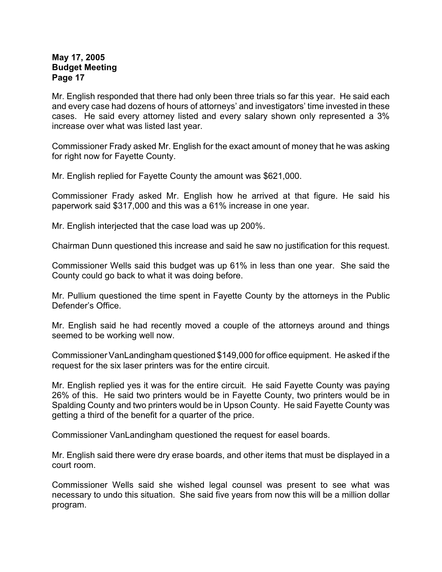Mr. English responded that there had only been three trials so far this year. He said each and every case had dozens of hours of attorneys' and investigators' time invested in these cases. He said every attorney listed and every salary shown only represented a 3% increase over what was listed last year.

Commissioner Frady asked Mr. English for the exact amount of money that he was asking for right now for Fayette County.

Mr. English replied for Fayette County the amount was \$621,000.

Commissioner Frady asked Mr. English how he arrived at that figure. He said his paperwork said \$317,000 and this was a 61% increase in one year.

Mr. English interjected that the case load was up 200%.

Chairman Dunn questioned this increase and said he saw no justification for this request.

Commissioner Wells said this budget was up 61% in less than one year. She said the County could go back to what it was doing before.

Mr. Pullium questioned the time spent in Fayette County by the attorneys in the Public Defender's Office.

Mr. English said he had recently moved a couple of the attorneys around and things seemed to be working well now.

Commissioner VanLandingham questioned \$149,000 for office equipment. He asked if the request for the six laser printers was for the entire circuit.

Mr. English replied yes it was for the entire circuit. He said Fayette County was paying 26% of this. He said two printers would be in Fayette County, two printers would be in Spalding County and two printers would be in Upson County. He said Fayette County was getting a third of the benefit for a quarter of the price.

Commissioner VanLandingham questioned the request for easel boards.

Mr. English said there were dry erase boards, and other items that must be displayed in a court room.

Commissioner Wells said she wished legal counsel was present to see what was necessary to undo this situation. She said five years from now this will be a million dollar program.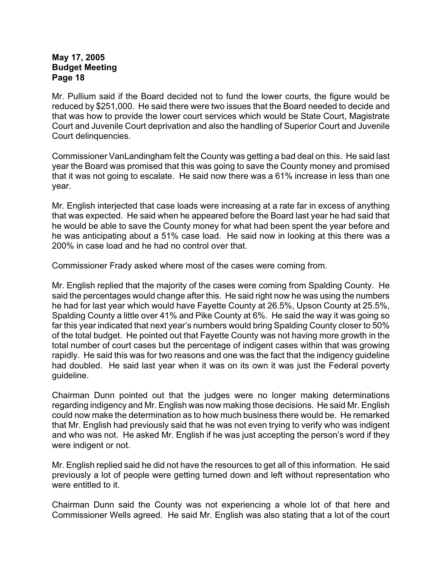Mr. Pullium said if the Board decided not to fund the lower courts, the figure would be reduced by \$251,000. He said there were two issues that the Board needed to decide and that was how to provide the lower court services which would be State Court, Magistrate Court and Juvenile Court deprivation and also the handling of Superior Court and Juvenile Court delinquencies.

Commissioner VanLandingham felt the County was getting a bad deal on this. He said last year the Board was promised that this was going to save the County money and promised that it was not going to escalate. He said now there was a 61% increase in less than one year.

Mr. English interjected that case loads were increasing at a rate far in excess of anything that was expected. He said when he appeared before the Board last year he had said that he would be able to save the County money for what had been spent the year before and he was anticipating about a 51% case load. He said now in looking at this there was a 200% in case load and he had no control over that.

Commissioner Frady asked where most of the cases were coming from.

Mr. English replied that the majority of the cases were coming from Spalding County. He said the percentages would change after this. He said right now he was using the numbers he had for last year which would have Fayette County at 26.5%, Upson County at 25.5%, Spalding County a little over 41% and Pike County at 6%. He said the way it was going so far this year indicated that next year's numbers would bring Spalding County closer to 50% of the total budget. He pointed out that Fayette County was not having more growth in the total number of court cases but the percentage of indigent cases within that was growing rapidly. He said this was for two reasons and one was the fact that the indigency guideline had doubled. He said last year when it was on its own it was just the Federal poverty guideline.

Chairman Dunn pointed out that the judges were no longer making determinations regarding indigency and Mr. English was now making those decisions. He said Mr. English could now make the determination as to how much business there would be. He remarked that Mr. English had previously said that he was not even trying to verify who was indigent and who was not. He asked Mr. English if he was just accepting the person's word if they were indigent or not.

Mr. English replied said he did not have the resources to get all of this information. He said previously a lot of people were getting turned down and left without representation who were entitled to it.

Chairman Dunn said the County was not experiencing a whole lot of that here and Commissioner Wells agreed. He said Mr. English was also stating that a lot of the court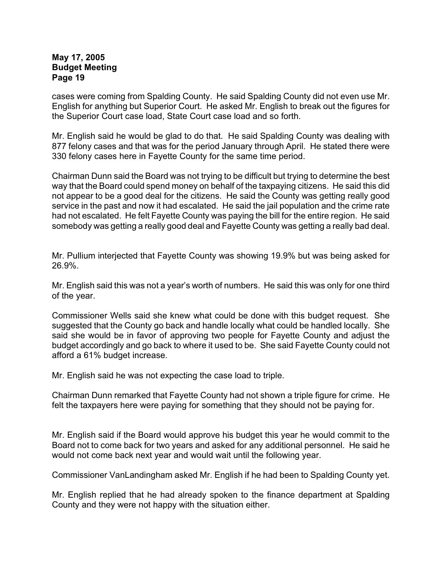cases were coming from Spalding County. He said Spalding County did not even use Mr. English for anything but Superior Court. He asked Mr. English to break out the figures for the Superior Court case load, State Court case load and so forth.

Mr. English said he would be glad to do that. He said Spalding County was dealing with 877 felony cases and that was for the period January through April. He stated there were 330 felony cases here in Fayette County for the same time period.

Chairman Dunn said the Board was not trying to be difficult but trying to determine the best way that the Board could spend money on behalf of the taxpaying citizens. He said this did not appear to be a good deal for the citizens. He said the County was getting really good service in the past and now it had escalated. He said the jail population and the crime rate had not escalated. He felt Fayette County was paying the bill for the entire region. He said somebody was getting a really good deal and Fayette County was getting a really bad deal.

Mr. Pullium interjected that Fayette County was showing 19.9% but was being asked for 26.9%.

Mr. English said this was not a year's worth of numbers. He said this was only for one third of the year.

Commissioner Wells said she knew what could be done with this budget request. She suggested that the County go back and handle locally what could be handled locally. She said she would be in favor of approving two people for Fayette County and adjust the budget accordingly and go back to where it used to be. She said Fayette County could not afford a 61% budget increase.

Mr. English said he was not expecting the case load to triple.

Chairman Dunn remarked that Fayette County had not shown a triple figure for crime. He felt the taxpayers here were paying for something that they should not be paying for.

Mr. English said if the Board would approve his budget this year he would commit to the Board not to come back for two years and asked for any additional personnel. He said he would not come back next year and would wait until the following year.

Commissioner VanLandingham asked Mr. English if he had been to Spalding County yet.

Mr. English replied that he had already spoken to the finance department at Spalding County and they were not happy with the situation either.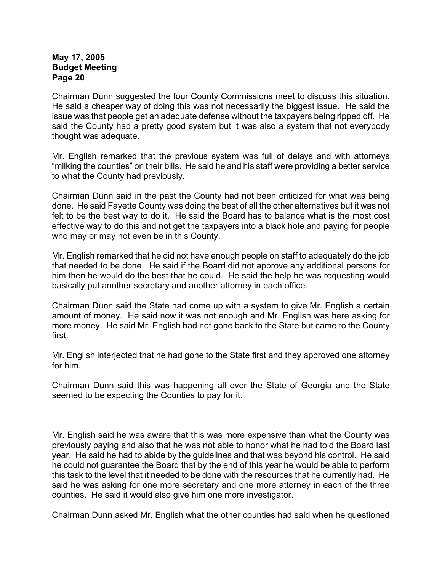Chairman Dunn suggested the four County Commissions meet to discuss this situation. He said a cheaper way of doing this was not necessarily the biggest issue. He said the issue was that people get an adequate defense without the taxpayers being ripped off. He said the County had a pretty good system but it was also a system that not everybody thought was adequate.

Mr. English remarked that the previous system was full of delays and with attorneys "milking the counties" on their bills. He said he and his staff were providing a better service to what the County had previously.

Chairman Dunn said in the past the County had not been criticized for what was being done. He said Fayette County was doing the best of all the other alternatives but it was not felt to be the best way to do it. He said the Board has to balance what is the most cost effective way to do this and not get the taxpayers into a black hole and paying for people who may or may not even be in this County.

Mr. English remarked that he did not have enough people on staff to adequately do the job that needed to be done. He said if the Board did not approve any additional persons for him then he would do the best that he could. He said the help he was requesting would basically put another secretary and another attorney in each office.

Chairman Dunn said the State had come up with a system to give Mr. English a certain amount of money. He said now it was not enough and Mr. English was here asking for more money. He said Mr. English had not gone back to the State but came to the County first.

Mr. English interjected that he had gone to the State first and they approved one attorney for him.

Chairman Dunn said this was happening all over the State of Georgia and the State seemed to be expecting the Counties to pay for it.

Mr. English said he was aware that this was more expensive than what the County was previously paying and also that he was not able to honor what he had told the Board last year. He said he had to abide by the guidelines and that was beyond his control. He said he could not guarantee the Board that by the end of this year he would be able to perform this task to the level that it needed to be done with the resources that he currently had. He said he was asking for one more secretary and one more attorney in each of the three counties. He said it would also give him one more investigator.

Chairman Dunn asked Mr. English what the other counties had said when he questioned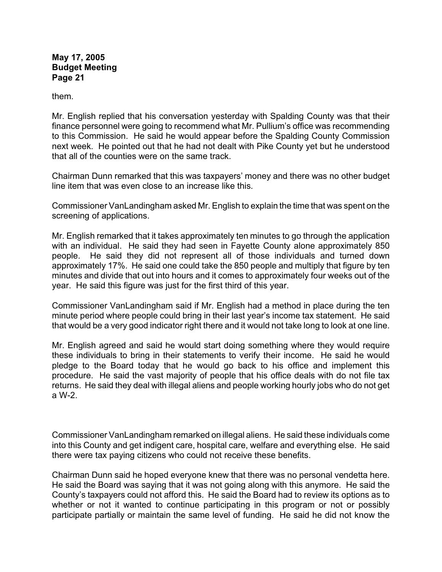them.

Mr. English replied that his conversation yesterday with Spalding County was that their finance personnel were going to recommend what Mr. Pullium's office was recommending to this Commission. He said he would appear before the Spalding County Commission next week. He pointed out that he had not dealt with Pike County yet but he understood that all of the counties were on the same track.

Chairman Dunn remarked that this was taxpayers' money and there was no other budget line item that was even close to an increase like this.

Commissioner VanLandingham asked Mr. English to explain the time that was spent on the screening of applications.

Mr. English remarked that it takes approximately ten minutes to go through the application with an individual. He said they had seen in Fayette County alone approximately 850 people. He said they did not represent all of those individuals and turned down approximately 17%. He said one could take the 850 people and multiply that figure by ten minutes and divide that out into hours and it comes to approximately four weeks out of the year. He said this figure was just for the first third of this year.

Commissioner VanLandingham said if Mr. English had a method in place during the ten minute period where people could bring in their last year's income tax statement. He said that would be a very good indicator right there and it would not take long to look at one line.

Mr. English agreed and said he would start doing something where they would require these individuals to bring in their statements to verify their income. He said he would pledge to the Board today that he would go back to his office and implement this procedure. He said the vast majority of people that his office deals with do not file tax returns. He said they deal with illegal aliens and people working hourly jobs who do not get a W-2.

Commissioner VanLandingham remarked on illegal aliens. He said these individuals come into this County and get indigent care, hospital care, welfare and everything else. He said there were tax paying citizens who could not receive these benefits.

Chairman Dunn said he hoped everyone knew that there was no personal vendetta here. He said the Board was saying that it was not going along with this anymore. He said the County's taxpayers could not afford this. He said the Board had to review its options as to whether or not it wanted to continue participating in this program or not or possibly participate partially or maintain the same level of funding. He said he did not know the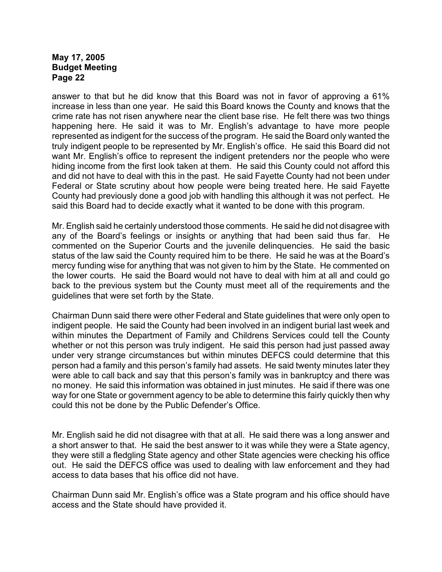answer to that but he did know that this Board was not in favor of approving a 61% increase in less than one year. He said this Board knows the County and knows that the crime rate has not risen anywhere near the client base rise. He felt there was two things happening here. He said it was to Mr. English's advantage to have more people represented as indigent for the success of the program. He said the Board only wanted the truly indigent people to be represented by Mr. English's office. He said this Board did not want Mr. English's office to represent the indigent pretenders nor the people who were hiding income from the first look taken at them. He said this County could not afford this and did not have to deal with this in the past. He said Fayette County had not been under Federal or State scrutiny about how people were being treated here. He said Fayette County had previously done a good job with handling this although it was not perfect. He said this Board had to decide exactly what it wanted to be done with this program.

Mr. English said he certainly understood those comments. He said he did not disagree with any of the Board's feelings or insights or anything that had been said thus far. He commented on the Superior Courts and the juvenile delinquencies. He said the basic status of the law said the County required him to be there. He said he was at the Board's mercy funding wise for anything that was not given to him by the State. He commented on the lower courts. He said the Board would not have to deal with him at all and could go back to the previous system but the County must meet all of the requirements and the guidelines that were set forth by the State.

Chairman Dunn said there were other Federal and State guidelines that were only open to indigent people. He said the County had been involved in an indigent burial last week and within minutes the Department of Family and Childrens Services could tell the County whether or not this person was truly indigent. He said this person had just passed away under very strange circumstances but within minutes DEFCS could determine that this person had a family and this person's family had assets. He said twenty minutes later they were able to call back and say that this person's family was in bankruptcy and there was no money. He said this information was obtained in just minutes. He said if there was one way for one State or government agency to be able to determine this fairly quickly then why could this not be done by the Public Defender's Office.

Mr. English said he did not disagree with that at all. He said there was a long answer and a short answer to that. He said the best answer to it was while they were a State agency, they were still a fledgling State agency and other State agencies were checking his office out. He said the DEFCS office was used to dealing with law enforcement and they had access to data bases that his office did not have.

Chairman Dunn said Mr. English's office was a State program and his office should have access and the State should have provided it.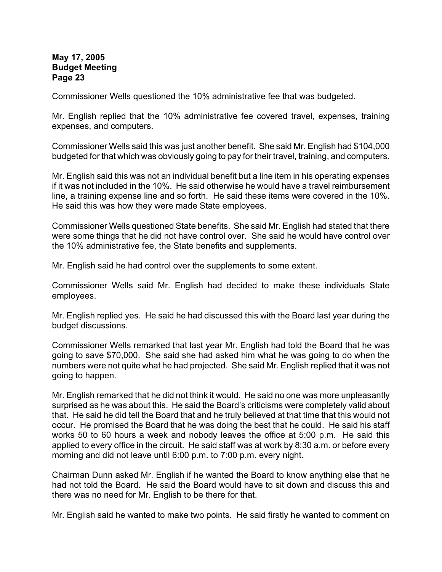Commissioner Wells questioned the 10% administrative fee that was budgeted.

Mr. English replied that the 10% administrative fee covered travel, expenses, training expenses, and computers.

Commissioner Wells said this was just another benefit. She said Mr. English had \$104,000 budgeted for that which was obviously going to pay for their travel, training, and computers.

Mr. English said this was not an individual benefit but a line item in his operating expenses if it was not included in the 10%. He said otherwise he would have a travel reimbursement line, a training expense line and so forth. He said these items were covered in the 10%. He said this was how they were made State employees.

Commissioner Wells questioned State benefits. She said Mr. English had stated that there were some things that he did not have control over. She said he would have control over the 10% administrative fee, the State benefits and supplements.

Mr. English said he had control over the supplements to some extent.

Commissioner Wells said Mr. English had decided to make these individuals State employees.

Mr. English replied yes. He said he had discussed this with the Board last year during the budget discussions.

Commissioner Wells remarked that last year Mr. English had told the Board that he was going to save \$70,000. She said she had asked him what he was going to do when the numbers were not quite what he had projected. She said Mr. English replied that it was not going to happen.

Mr. English remarked that he did not think it would. He said no one was more unpleasantly surprised as he was about this. He said the Board's criticisms were completely valid about that. He said he did tell the Board that and he truly believed at that time that this would not occur. He promised the Board that he was doing the best that he could. He said his staff works 50 to 60 hours a week and nobody leaves the office at 5:00 p.m. He said this applied to every office in the circuit. He said staff was at work by 8:30 a.m. or before every morning and did not leave until 6:00 p.m. to 7:00 p.m. every night.

Chairman Dunn asked Mr. English if he wanted the Board to know anything else that he had not told the Board. He said the Board would have to sit down and discuss this and there was no need for Mr. English to be there for that.

Mr. English said he wanted to make two points. He said firstly he wanted to comment on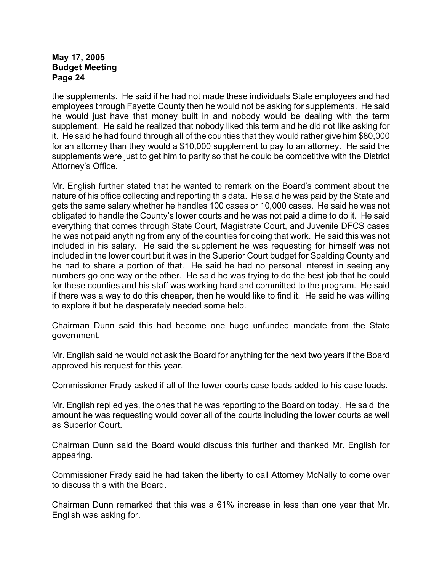the supplements. He said if he had not made these individuals State employees and had employees through Fayette County then he would not be asking for supplements. He said he would just have that money built in and nobody would be dealing with the term supplement. He said he realized that nobody liked this term and he did not like asking for it. He said he had found through all of the counties that they would rather give him \$80,000 for an attorney than they would a \$10,000 supplement to pay to an attorney. He said the supplements were just to get him to parity so that he could be competitive with the District Attorney's Office.

Mr. English further stated that he wanted to remark on the Board's comment about the nature of his office collecting and reporting this data. He said he was paid by the State and gets the same salary whether he handles 100 cases or 10,000 cases. He said he was not obligated to handle the County's lower courts and he was not paid a dime to do it. He said everything that comes through State Court, Magistrate Court, and Juvenile DFCS cases he was not paid anything from any of the counties for doing that work. He said this was not included in his salary. He said the supplement he was requesting for himself was not included in the lower court but it was in the Superior Court budget for Spalding County and he had to share a portion of that. He said he had no personal interest in seeing any numbers go one way or the other. He said he was trying to do the best job that he could for these counties and his staff was working hard and committed to the program. He said if there was a way to do this cheaper, then he would like to find it. He said he was willing to explore it but he desperately needed some help.

Chairman Dunn said this had become one huge unfunded mandate from the State government.

Mr. English said he would not ask the Board for anything for the next two years if the Board approved his request for this year.

Commissioner Frady asked if all of the lower courts case loads added to his case loads.

Mr. English replied yes, the ones that he was reporting to the Board on today. He said the amount he was requesting would cover all of the courts including the lower courts as well as Superior Court.

Chairman Dunn said the Board would discuss this further and thanked Mr. English for appearing.

Commissioner Frady said he had taken the liberty to call Attorney McNally to come over to discuss this with the Board.

Chairman Dunn remarked that this was a 61% increase in less than one year that Mr. English was asking for.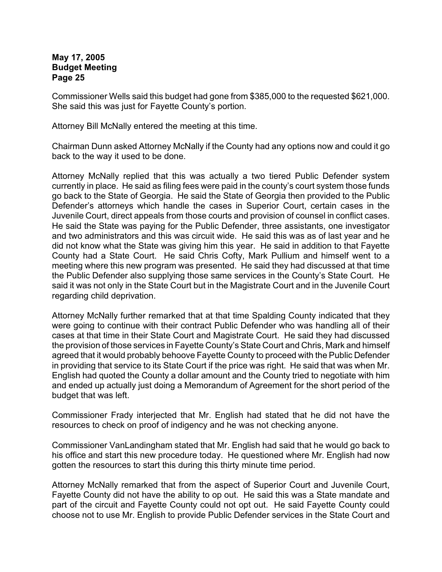Commissioner Wells said this budget had gone from \$385,000 to the requested \$621,000. She said this was just for Fayette County's portion.

Attorney Bill McNally entered the meeting at this time.

Chairman Dunn asked Attorney McNally if the County had any options now and could it go back to the way it used to be done.

Attorney McNally replied that this was actually a two tiered Public Defender system currently in place. He said as filing fees were paid in the county's court system those funds go back to the State of Georgia. He said the State of Georgia then provided to the Public Defender's attorneys which handle the cases in Superior Court, certain cases in the Juvenile Court, direct appeals from those courts and provision of counsel in conflict cases. He said the State was paying for the Public Defender, three assistants, one investigator and two administrators and this was circuit wide. He said this was as of last year and he did not know what the State was giving him this year. He said in addition to that Fayette County had a State Court. He said Chris Cofty, Mark Pullium and himself went to a meeting where this new program was presented. He said they had discussed at that time the Public Defender also supplying those same services in the County's State Court. He said it was not only in the State Court but in the Magistrate Court and in the Juvenile Court regarding child deprivation.

Attorney McNally further remarked that at that time Spalding County indicated that they were going to continue with their contract Public Defender who was handling all of their cases at that time in their State Court and Magistrate Court. He said they had discussed the provision of those services in Fayette County's State Court and Chris, Mark and himself agreed that it would probably behoove Fayette County to proceed with the Public Defender in providing that service to its State Court if the price was right. He said that was when Mr. English had quoted the County a dollar amount and the County tried to negotiate with him and ended up actually just doing a Memorandum of Agreement for the short period of the budget that was left.

Commissioner Frady interjected that Mr. English had stated that he did not have the resources to check on proof of indigency and he was not checking anyone.

Commissioner VanLandingham stated that Mr. English had said that he would go back to his office and start this new procedure today. He questioned where Mr. English had now gotten the resources to start this during this thirty minute time period.

Attorney McNally remarked that from the aspect of Superior Court and Juvenile Court, Fayette County did not have the ability to op out. He said this was a State mandate and part of the circuit and Fayette County could not opt out. He said Fayette County could choose not to use Mr. English to provide Public Defender services in the State Court and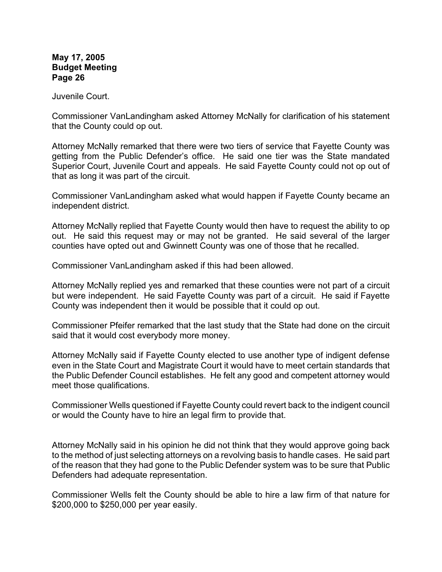Juvenile Court.

Commissioner VanLandingham asked Attorney McNally for clarification of his statement that the County could op out.

Attorney McNally remarked that there were two tiers of service that Fayette County was getting from the Public Defender's office. He said one tier was the State mandated Superior Court, Juvenile Court and appeals. He said Fayette County could not op out of that as long it was part of the circuit.

Commissioner VanLandingham asked what would happen if Fayette County became an independent district.

Attorney McNally replied that Fayette County would then have to request the ability to op out. He said this request may or may not be granted. He said several of the larger counties have opted out and Gwinnett County was one of those that he recalled.

Commissioner VanLandingham asked if this had been allowed.

Attorney McNally replied yes and remarked that these counties were not part of a circuit but were independent. He said Fayette County was part of a circuit. He said if Fayette County was independent then it would be possible that it could op out.

Commissioner Pfeifer remarked that the last study that the State had done on the circuit said that it would cost everybody more money.

Attorney McNally said if Fayette County elected to use another type of indigent defense even in the State Court and Magistrate Court it would have to meet certain standards that the Public Defender Council establishes. He felt any good and competent attorney would meet those qualifications.

Commissioner Wells questioned if Fayette County could revert back to the indigent council or would the County have to hire an legal firm to provide that.

Attorney McNally said in his opinion he did not think that they would approve going back to the method of just selecting attorneys on a revolving basis to handle cases. He said part of the reason that they had gone to the Public Defender system was to be sure that Public Defenders had adequate representation.

Commissioner Wells felt the County should be able to hire a law firm of that nature for \$200,000 to \$250,000 per year easily.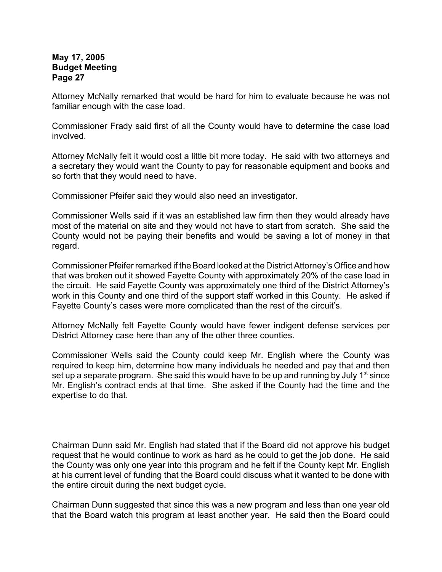Attorney McNally remarked that would be hard for him to evaluate because he was not familiar enough with the case load.

Commissioner Frady said first of all the County would have to determine the case load involved.

Attorney McNally felt it would cost a little bit more today. He said with two attorneys and a secretary they would want the County to pay for reasonable equipment and books and so forth that they would need to have.

Commissioner Pfeifer said they would also need an investigator.

Commissioner Wells said if it was an established law firm then they would already have most of the material on site and they would not have to start from scratch. She said the County would not be paying their benefits and would be saving a lot of money in that regard.

Commissioner Pfeifer remarked if the Board looked at the District Attorney's Office and how that was broken out it showed Fayette County with approximately 20% of the case load in the circuit. He said Fayette County was approximately one third of the District Attorney's work in this County and one third of the support staff worked in this County. He asked if Fayette County's cases were more complicated than the rest of the circuit's.

Attorney McNally felt Fayette County would have fewer indigent defense services per District Attorney case here than any of the other three counties.

Commissioner Wells said the County could keep Mr. English where the County was required to keep him, determine how many individuals he needed and pay that and then set up a separate program. She said this would have to be up and running by July 1<sup>st</sup> since Mr. English's contract ends at that time. She asked if the County had the time and the expertise to do that.

Chairman Dunn said Mr. English had stated that if the Board did not approve his budget request that he would continue to work as hard as he could to get the job done. He said the County was only one year into this program and he felt if the County kept Mr. English at his current level of funding that the Board could discuss what it wanted to be done with the entire circuit during the next budget cycle.

Chairman Dunn suggested that since this was a new program and less than one year old that the Board watch this program at least another year. He said then the Board could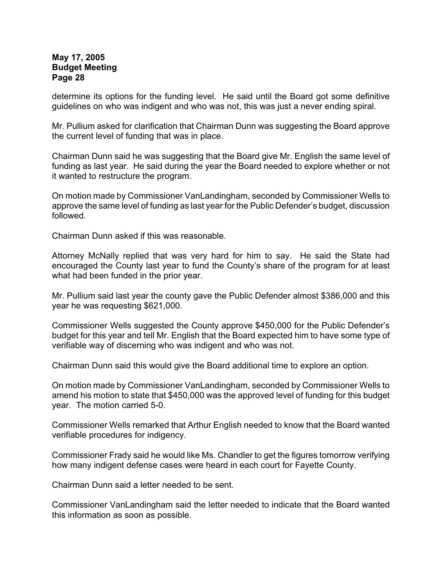determine its options for the funding level. He said until the Board got some definitive guidelines on who was indigent and who was not, this was just a never ending spiral.

Mr. Pullium asked for clarification that Chairman Dunn was suggesting the Board approve the current level of funding that was in place.

Chairman Dunn said he was suggesting that the Board give Mr. English the same level of funding as last year. He said during the year the Board needed to explore whether or not it wanted to restructure the program.

On motion made by Commissioner VanLandingham, seconded by Commissioner Wells to approve the same level of funding as last year for the Public Defender's budget, discussion followed.

Chairman Dunn asked if this was reasonable.

Attorney McNally replied that was very hard for him to say. He said the State had encouraged the County last year to fund the County's share of the program for at least what had been funded in the prior year.

Mr. Pullium said last year the county gave the Public Defender almost \$386,000 and this year he was requesting \$621,000.

Commissioner Wells suggested the County approve \$450,000 for the Public Defender's budget for this year and tell Mr. English that the Board expected him to have some type of verifiable way of discerning who was indigent and who was not.

Chairman Dunn said this would give the Board additional time to explore an option.

On motion made by Commissioner VanLandingham, seconded by Commissioner Wells to amend his motion to state that \$450,000 was the approved level of funding for this budget year. The motion carried 5-0.

Commissioner Wells remarked that Arthur English needed to know that the Board wanted verifiable procedures for indigency.

Commissioner Frady said he would like Ms. Chandler to get the figures tomorrow verifying how many indigent defense cases were heard in each court for Fayette County.

Chairman Dunn said a letter needed to be sent.

Commissioner VanLandingham said the letter needed to indicate that the Board wanted this information as soon as possible.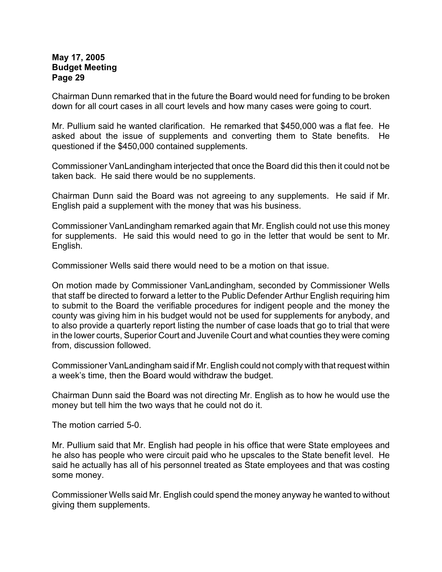Chairman Dunn remarked that in the future the Board would need for funding to be broken down for all court cases in all court levels and how many cases were going to court.

Mr. Pullium said he wanted clarification. He remarked that \$450,000 was a flat fee. He asked about the issue of supplements and converting them to State benefits. He questioned if the \$450,000 contained supplements.

Commissioner VanLandingham interjected that once the Board did this then it could not be taken back. He said there would be no supplements.

Chairman Dunn said the Board was not agreeing to any supplements. He said if Mr. English paid a supplement with the money that was his business.

Commissioner VanLandingham remarked again that Mr. English could not use this money for supplements. He said this would need to go in the letter that would be sent to Mr. English.

Commissioner Wells said there would need to be a motion on that issue.

On motion made by Commissioner VanLandingham, seconded by Commissioner Wells that staff be directed to forward a letter to the Public Defender Arthur English requiring him to submit to the Board the verifiable procedures for indigent people and the money the county was giving him in his budget would not be used for supplements for anybody, and to also provide a quarterly report listing the number of case loads that go to trial that were in the lower courts, Superior Court and Juvenile Court and what counties they were coming from, discussion followed.

Commissioner VanLandingham said if Mr. English could not comply with that request within a week's time, then the Board would withdraw the budget.

Chairman Dunn said the Board was not directing Mr. English as to how he would use the money but tell him the two ways that he could not do it.

The motion carried 5-0.

Mr. Pullium said that Mr. English had people in his office that were State employees and he also has people who were circuit paid who he upscales to the State benefit level. He said he actually has all of his personnel treated as State employees and that was costing some money.

Commissioner Wells said Mr. English could spend the money anyway he wanted to without giving them supplements.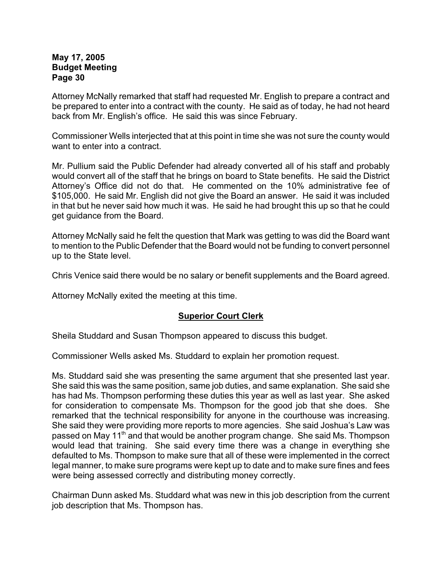Attorney McNally remarked that staff had requested Mr. English to prepare a contract and be prepared to enter into a contract with the county. He said as of today, he had not heard back from Mr. English's office. He said this was since February.

Commissioner Wells interjected that at this point in time she was not sure the county would want to enter into a contract.

Mr. Pullium said the Public Defender had already converted all of his staff and probably would convert all of the staff that he brings on board to State benefits. He said the District Attorney's Office did not do that. He commented on the 10% administrative fee of \$105,000. He said Mr. English did not give the Board an answer. He said it was included in that but he never said how much it was. He said he had brought this up so that he could get guidance from the Board.

Attorney McNally said he felt the question that Mark was getting to was did the Board want to mention to the Public Defender that the Board would not be funding to convert personnel up to the State level.

Chris Venice said there would be no salary or benefit supplements and the Board agreed.

Attorney McNally exited the meeting at this time.

## **Superior Court Clerk**

Sheila Studdard and Susan Thompson appeared to discuss this budget.

Commissioner Wells asked Ms. Studdard to explain her promotion request.

Ms. Studdard said she was presenting the same argument that she presented last year. She said this was the same position, same job duties, and same explanation. She said she has had Ms. Thompson performing these duties this year as well as last year. She asked for consideration to compensate Ms. Thompson for the good job that she does. She remarked that the technical responsibility for anyone in the courthouse was increasing. She said they were providing more reports to more agencies. She said Joshua's Law was passed on May 11<sup>th</sup> and that would be another program change. She said Ms. Thompson would lead that training. She said every time there was a change in everything she defaulted to Ms. Thompson to make sure that all of these were implemented in the correct legal manner, to make sure programs were kept up to date and to make sure fines and fees were being assessed correctly and distributing money correctly.

Chairman Dunn asked Ms. Studdard what was new in this job description from the current job description that Ms. Thompson has.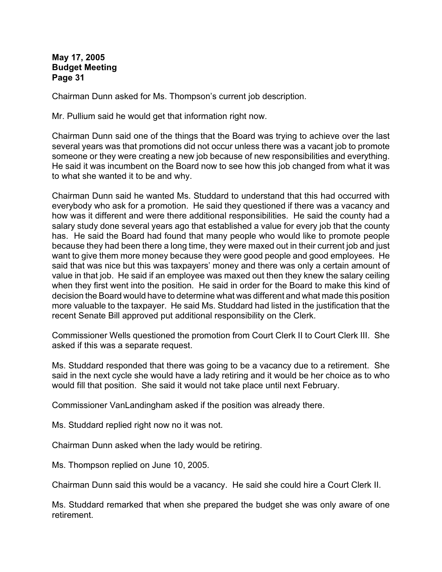Chairman Dunn asked for Ms. Thompson's current job description.

Mr. Pullium said he would get that information right now.

Chairman Dunn said one of the things that the Board was trying to achieve over the last several years was that promotions did not occur unless there was a vacant job to promote someone or they were creating a new job because of new responsibilities and everything. He said it was incumbent on the Board now to see how this job changed from what it was to what she wanted it to be and why.

Chairman Dunn said he wanted Ms. Studdard to understand that this had occurred with everybody who ask for a promotion. He said they questioned if there was a vacancy and how was it different and were there additional responsibilities. He said the county had a salary study done several years ago that established a value for every job that the county has. He said the Board had found that many people who would like to promote people because they had been there a long time, they were maxed out in their current job and just want to give them more money because they were good people and good employees. He said that was nice but this was taxpayers' money and there was only a certain amount of value in that job. He said if an employee was maxed out then they knew the salary ceiling when they first went into the position. He said in order for the Board to make this kind of decision the Board would have to determine what was different and what made this position more valuable to the taxpayer. He said Ms. Studdard had listed in the justification that the recent Senate Bill approved put additional responsibility on the Clerk.

Commissioner Wells questioned the promotion from Court Clerk II to Court Clerk III. She asked if this was a separate request.

Ms. Studdard responded that there was going to be a vacancy due to a retirement. She said in the next cycle she would have a lady retiring and it would be her choice as to who would fill that position. She said it would not take place until next February.

Commissioner VanLandingham asked if the position was already there.

Ms. Studdard replied right now no it was not.

Chairman Dunn asked when the lady would be retiring.

Ms. Thompson replied on June 10, 2005.

Chairman Dunn said this would be a vacancy. He said she could hire a Court Clerk II.

Ms. Studdard remarked that when she prepared the budget she was only aware of one retirement.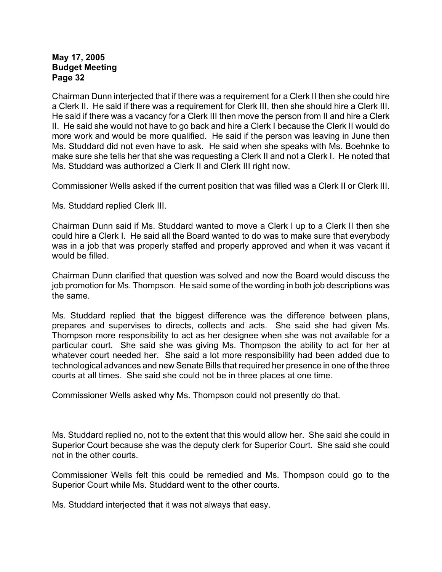Chairman Dunn interjected that if there was a requirement for a Clerk II then she could hire a Clerk II. He said if there was a requirement for Clerk III, then she should hire a Clerk III. He said if there was a vacancy for a Clerk III then move the person from II and hire a Clerk II. He said she would not have to go back and hire a Clerk I because the Clerk II would do more work and would be more qualified. He said if the person was leaving in June then Ms. Studdard did not even have to ask. He said when she speaks with Ms. Boehnke to make sure she tells her that she was requesting a Clerk II and not a Clerk I. He noted that Ms. Studdard was authorized a Clerk II and Clerk III right now.

Commissioner Wells asked if the current position that was filled was a Clerk II or Clerk III.

Ms. Studdard replied Clerk III.

Chairman Dunn said if Ms. Studdard wanted to move a Clerk I up to a Clerk II then she could hire a Clerk I. He said all the Board wanted to do was to make sure that everybody was in a job that was properly staffed and properly approved and when it was vacant it would be filled.

Chairman Dunn clarified that question was solved and now the Board would discuss the job promotion for Ms. Thompson. He said some of the wording in both job descriptions was the same.

Ms. Studdard replied that the biggest difference was the difference between plans, prepares and supervises to directs, collects and acts. She said she had given Ms. Thompson more responsibility to act as her designee when she was not available for a particular court. She said she was giving Ms. Thompson the ability to act for her at whatever court needed her. She said a lot more responsibility had been added due to technological advances and new Senate Bills that required her presence in one of the three courts at all times. She said she could not be in three places at one time.

Commissioner Wells asked why Ms. Thompson could not presently do that.

Ms. Studdard replied no, not to the extent that this would allow her. She said she could in Superior Court because she was the deputy clerk for Superior Court. She said she could not in the other courts.

Commissioner Wells felt this could be remedied and Ms. Thompson could go to the Superior Court while Ms. Studdard went to the other courts.

Ms. Studdard interjected that it was not always that easy.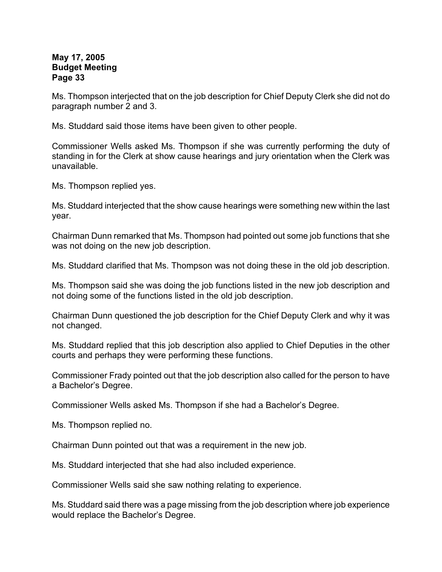Ms. Thompson interjected that on the job description for Chief Deputy Clerk she did not do paragraph number 2 and 3.

Ms. Studdard said those items have been given to other people.

Commissioner Wells asked Ms. Thompson if she was currently performing the duty of standing in for the Clerk at show cause hearings and jury orientation when the Clerk was unavailable.

Ms. Thompson replied yes.

Ms. Studdard interjected that the show cause hearings were something new within the last year.

Chairman Dunn remarked that Ms. Thompson had pointed out some job functions that she was not doing on the new job description.

Ms. Studdard clarified that Ms. Thompson was not doing these in the old job description.

Ms. Thompson said she was doing the job functions listed in the new job description and not doing some of the functions listed in the old job description.

Chairman Dunn questioned the job description for the Chief Deputy Clerk and why it was not changed.

Ms. Studdard replied that this job description also applied to Chief Deputies in the other courts and perhaps they were performing these functions.

Commissioner Frady pointed out that the job description also called for the person to have a Bachelor's Degree.

Commissioner Wells asked Ms. Thompson if she had a Bachelor's Degree.

Ms. Thompson replied no.

Chairman Dunn pointed out that was a requirement in the new job.

Ms. Studdard interjected that she had also included experience.

Commissioner Wells said she saw nothing relating to experience.

Ms. Studdard said there was a page missing from the job description where job experience would replace the Bachelor's Degree.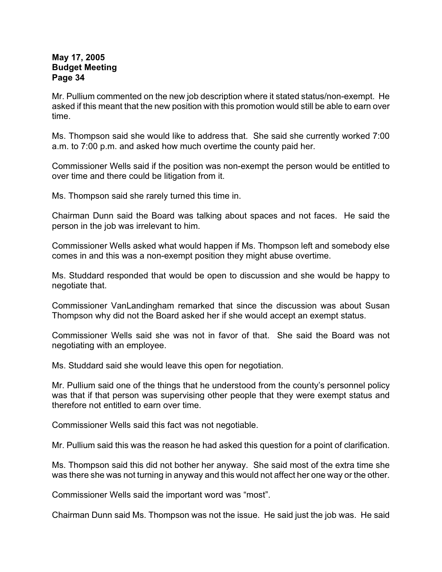Mr. Pullium commented on the new job description where it stated status/non-exempt. He asked if this meant that the new position with this promotion would still be able to earn over time.

Ms. Thompson said she would like to address that. She said she currently worked 7:00 a.m. to 7:00 p.m. and asked how much overtime the county paid her.

Commissioner Wells said if the position was non-exempt the person would be entitled to over time and there could be litigation from it.

Ms. Thompson said she rarely turned this time in.

Chairman Dunn said the Board was talking about spaces and not faces. He said the person in the job was irrelevant to him.

Commissioner Wells asked what would happen if Ms. Thompson left and somebody else comes in and this was a non-exempt position they might abuse overtime.

Ms. Studdard responded that would be open to discussion and she would be happy to negotiate that.

Commissioner VanLandingham remarked that since the discussion was about Susan Thompson why did not the Board asked her if she would accept an exempt status.

Commissioner Wells said she was not in favor of that. She said the Board was not negotiating with an employee.

Ms. Studdard said she would leave this open for negotiation.

Mr. Pullium said one of the things that he understood from the county's personnel policy was that if that person was supervising other people that they were exempt status and therefore not entitled to earn over time.

Commissioner Wells said this fact was not negotiable.

Mr. Pullium said this was the reason he had asked this question for a point of clarification.

Ms. Thompson said this did not bother her anyway. She said most of the extra time she was there she was not turning in anyway and this would not affect her one way or the other.

Commissioner Wells said the important word was "most".

Chairman Dunn said Ms. Thompson was not the issue. He said just the job was. He said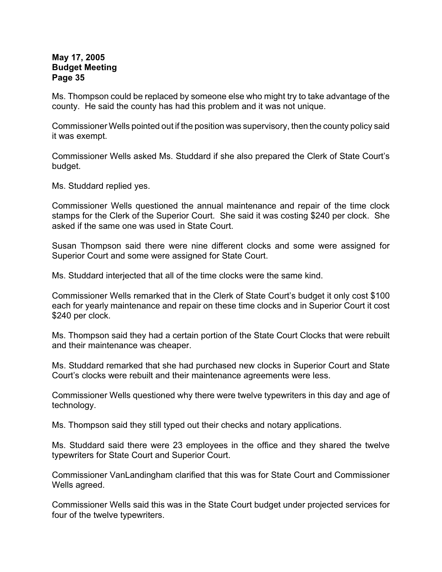Ms. Thompson could be replaced by someone else who might try to take advantage of the county. He said the county has had this problem and it was not unique.

Commissioner Wells pointed out if the position was supervisory, then the county policy said it was exempt.

Commissioner Wells asked Ms. Studdard if she also prepared the Clerk of State Court's budget.

Ms. Studdard replied yes.

Commissioner Wells questioned the annual maintenance and repair of the time clock stamps for the Clerk of the Superior Court. She said it was costing \$240 per clock. She asked if the same one was used in State Court.

Susan Thompson said there were nine different clocks and some were assigned for Superior Court and some were assigned for State Court.

Ms. Studdard interjected that all of the time clocks were the same kind.

Commissioner Wells remarked that in the Clerk of State Court's budget it only cost \$100 each for yearly maintenance and repair on these time clocks and in Superior Court it cost \$240 per clock.

Ms. Thompson said they had a certain portion of the State Court Clocks that were rebuilt and their maintenance was cheaper.

Ms. Studdard remarked that she had purchased new clocks in Superior Court and State Court's clocks were rebuilt and their maintenance agreements were less.

Commissioner Wells questioned why there were twelve typewriters in this day and age of technology.

Ms. Thompson said they still typed out their checks and notary applications.

Ms. Studdard said there were 23 employees in the office and they shared the twelve typewriters for State Court and Superior Court.

Commissioner VanLandingham clarified that this was for State Court and Commissioner Wells agreed.

Commissioner Wells said this was in the State Court budget under projected services for four of the twelve typewriters.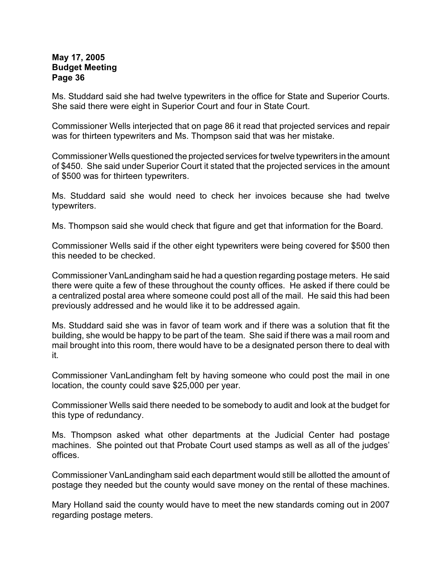Ms. Studdard said she had twelve typewriters in the office for State and Superior Courts. She said there were eight in Superior Court and four in State Court.

Commissioner Wells interjected that on page 86 it read that projected services and repair was for thirteen typewriters and Ms. Thompson said that was her mistake.

Commissioner Wells questioned the projected services for twelve typewriters in the amount of \$450. She said under Superior Court it stated that the projected services in the amount of \$500 was for thirteen typewriters.

Ms. Studdard said she would need to check her invoices because she had twelve typewriters.

Ms. Thompson said she would check that figure and get that information for the Board.

Commissioner Wells said if the other eight typewriters were being covered for \$500 then this needed to be checked.

Commissioner VanLandingham said he had a question regarding postage meters. He said there were quite a few of these throughout the county offices. He asked if there could be a centralized postal area where someone could post all of the mail. He said this had been previously addressed and he would like it to be addressed again.

Ms. Studdard said she was in favor of team work and if there was a solution that fit the building, she would be happy to be part of the team. She said if there was a mail room and mail brought into this room, there would have to be a designated person there to deal with it.

Commissioner VanLandingham felt by having someone who could post the mail in one location, the county could save \$25,000 per year.

Commissioner Wells said there needed to be somebody to audit and look at the budget for this type of redundancy.

Ms. Thompson asked what other departments at the Judicial Center had postage machines. She pointed out that Probate Court used stamps as well as all of the judges' offices.

Commissioner VanLandingham said each department would still be allotted the amount of postage they needed but the county would save money on the rental of these machines.

Mary Holland said the county would have to meet the new standards coming out in 2007 regarding postage meters.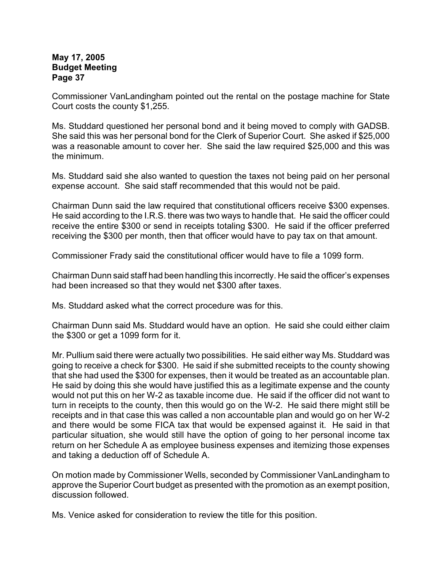Commissioner VanLandingham pointed out the rental on the postage machine for State Court costs the county \$1,255.

Ms. Studdard questioned her personal bond and it being moved to comply with GADSB. She said this was her personal bond for the Clerk of Superior Court. She asked if \$25,000 was a reasonable amount to cover her. She said the law required \$25,000 and this was the minimum.

Ms. Studdard said she also wanted to question the taxes not being paid on her personal expense account. She said staff recommended that this would not be paid.

Chairman Dunn said the law required that constitutional officers receive \$300 expenses. He said according to the I.R.S. there was two ways to handle that. He said the officer could receive the entire \$300 or send in receipts totaling \$300. He said if the officer preferred receiving the \$300 per month, then that officer would have to pay tax on that amount.

Commissioner Frady said the constitutional officer would have to file a 1099 form.

Chairman Dunn said staff had been handling this incorrectly. He said the officer's expenses had been increased so that they would net \$300 after taxes.

Ms. Studdard asked what the correct procedure was for this.

Chairman Dunn said Ms. Studdard would have an option. He said she could either claim the \$300 or get a 1099 form for it.

Mr. Pullium said there were actually two possibilities. He said either way Ms. Studdard was going to receive a check for \$300. He said if she submitted receipts to the county showing that she had used the \$300 for expenses, then it would be treated as an accountable plan. He said by doing this she would have justified this as a legitimate expense and the county would not put this on her W-2 as taxable income due. He said if the officer did not want to turn in receipts to the county, then this would go on the W-2. He said there might still be receipts and in that case this was called a non accountable plan and would go on her W-2 and there would be some FICA tax that would be expensed against it. He said in that particular situation, she would still have the option of going to her personal income tax return on her Schedule A as employee business expenses and itemizing those expenses and taking a deduction off of Schedule A.

On motion made by Commissioner Wells, seconded by Commissioner VanLandingham to approve the Superior Court budget as presented with the promotion as an exempt position, discussion followed.

Ms. Venice asked for consideration to review the title for this position.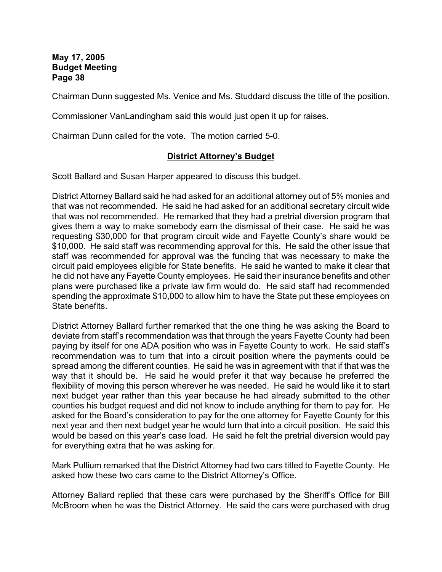Chairman Dunn suggested Ms. Venice and Ms. Studdard discuss the title of the position.

Commissioner VanLandingham said this would just open it up for raises.

Chairman Dunn called for the vote. The motion carried 5-0.

## **District Attorney's Budget**

Scott Ballard and Susan Harper appeared to discuss this budget.

District Attorney Ballard said he had asked for an additional attorney out of 5% monies and that was not recommended. He said he had asked for an additional secretary circuit wide that was not recommended. He remarked that they had a pretrial diversion program that gives them a way to make somebody earn the dismissal of their case. He said he was requesting \$30,000 for that program circuit wide and Fayette County's share would be \$10,000. He said staff was recommending approval for this. He said the other issue that staff was recommended for approval was the funding that was necessary to make the circuit paid employees eligible for State benefits. He said he wanted to make it clear that he did not have any Fayette County employees. He said their insurance benefits and other plans were purchased like a private law firm would do. He said staff had recommended spending the approximate \$10,000 to allow him to have the State put these employees on State benefits.

District Attorney Ballard further remarked that the one thing he was asking the Board to deviate from staff's recommendation was that through the years Fayette County had been paying by itself for one ADA position who was in Fayette County to work. He said staff's recommendation was to turn that into a circuit position where the payments could be spread among the different counties. He said he was in agreement with that if that was the way that it should be. He said he would prefer it that way because he preferred the flexibility of moving this person wherever he was needed. He said he would like it to start next budget year rather than this year because he had already submitted to the other counties his budget request and did not know to include anything for them to pay for. He asked for the Board's consideration to pay for the one attorney for Fayette County for this next year and then next budget year he would turn that into a circuit position. He said this would be based on this year's case load. He said he felt the pretrial diversion would pay for everything extra that he was asking for.

Mark Pullium remarked that the District Attorney had two cars titled to Fayette County. He asked how these two cars came to the District Attorney's Office.

Attorney Ballard replied that these cars were purchased by the Sheriff's Office for Bill McBroom when he was the District Attorney. He said the cars were purchased with drug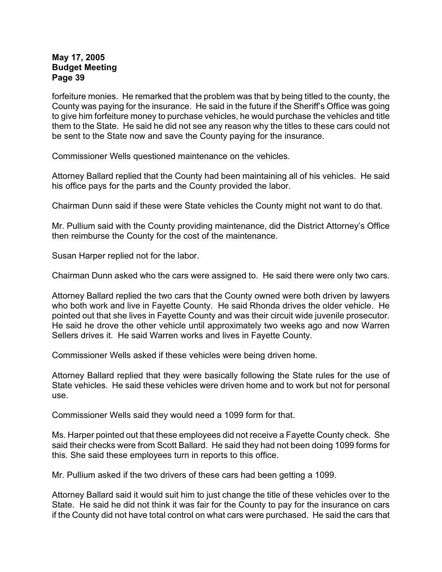forfeiture monies. He remarked that the problem was that by being titled to the county, the County was paying for the insurance. He said in the future if the Sheriff's Office was going to give him forfeiture money to purchase vehicles, he would purchase the vehicles and title them to the State. He said he did not see any reason why the titles to these cars could not be sent to the State now and save the County paying for the insurance.

Commissioner Wells questioned maintenance on the vehicles.

Attorney Ballard replied that the County had been maintaining all of his vehicles. He said his office pays for the parts and the County provided the labor.

Chairman Dunn said if these were State vehicles the County might not want to do that.

Mr. Pullium said with the County providing maintenance, did the District Attorney's Office then reimburse the County for the cost of the maintenance.

Susan Harper replied not for the labor.

Chairman Dunn asked who the cars were assigned to. He said there were only two cars.

Attorney Ballard replied the two cars that the County owned were both driven by lawyers who both work and live in Fayette County. He said Rhonda drives the older vehicle. He pointed out that she lives in Fayette County and was their circuit wide juvenile prosecutor. He said he drove the other vehicle until approximately two weeks ago and now Warren Sellers drives it. He said Warren works and lives in Fayette County.

Commissioner Wells asked if these vehicles were being driven home.

Attorney Ballard replied that they were basically following the State rules for the use of State vehicles. He said these vehicles were driven home and to work but not for personal use.

Commissioner Wells said they would need a 1099 form for that.

Ms. Harper pointed out that these employees did not receive a Fayette County check. She said their checks were from Scott Ballard. He said they had not been doing 1099 forms for this. She said these employees turn in reports to this office.

Mr. Pullium asked if the two drivers of these cars had been getting a 1099.

Attorney Ballard said it would suit him to just change the title of these vehicles over to the State. He said he did not think it was fair for the County to pay for the insurance on cars if the County did not have total control on what cars were purchased. He said the cars that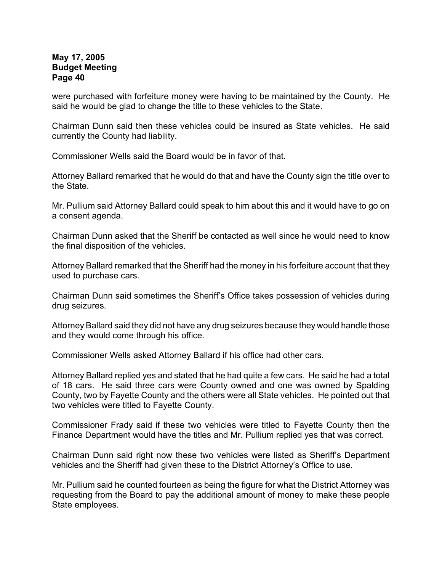were purchased with forfeiture money were having to be maintained by the County. He said he would be glad to change the title to these vehicles to the State.

Chairman Dunn said then these vehicles could be insured as State vehicles. He said currently the County had liability.

Commissioner Wells said the Board would be in favor of that.

Attorney Ballard remarked that he would do that and have the County sign the title over to the State.

Mr. Pullium said Attorney Ballard could speak to him about this and it would have to go on a consent agenda.

Chairman Dunn asked that the Sheriff be contacted as well since he would need to know the final disposition of the vehicles.

Attorney Ballard remarked that the Sheriff had the money in his forfeiture account that they used to purchase cars.

Chairman Dunn said sometimes the Sheriff's Office takes possession of vehicles during drug seizures.

Attorney Ballard said they did not have any drug seizures because they would handle those and they would come through his office.

Commissioner Wells asked Attorney Ballard if his office had other cars.

Attorney Ballard replied yes and stated that he had quite a few cars. He said he had a total of 18 cars. He said three cars were County owned and one was owned by Spalding County, two by Fayette County and the others were all State vehicles. He pointed out that two vehicles were titled to Fayette County.

Commissioner Frady said if these two vehicles were titled to Fayette County then the Finance Department would have the titles and Mr. Pullium replied yes that was correct.

Chairman Dunn said right now these two vehicles were listed as Sheriff's Department vehicles and the Sheriff had given these to the District Attorney's Office to use.

Mr. Pullium said he counted fourteen as being the figure for what the District Attorney was requesting from the Board to pay the additional amount of money to make these people State employees.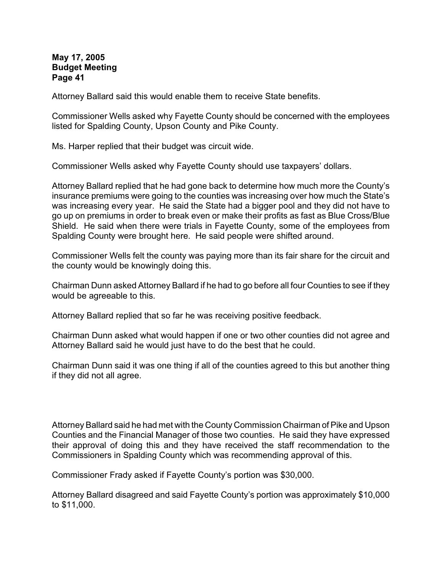Attorney Ballard said this would enable them to receive State benefits.

Commissioner Wells asked why Fayette County should be concerned with the employees listed for Spalding County, Upson County and Pike County.

Ms. Harper replied that their budget was circuit wide.

Commissioner Wells asked why Fayette County should use taxpayers' dollars.

Attorney Ballard replied that he had gone back to determine how much more the County's insurance premiums were going to the counties was increasing over how much the State's was increasing every year. He said the State had a bigger pool and they did not have to go up on premiums in order to break even or make their profits as fast as Blue Cross/Blue Shield. He said when there were trials in Fayette County, some of the employees from Spalding County were brought here. He said people were shifted around.

Commissioner Wells felt the county was paying more than its fair share for the circuit and the county would be knowingly doing this.

Chairman Dunn asked Attorney Ballard if he had to go before all four Counties to see if they would be agreeable to this.

Attorney Ballard replied that so far he was receiving positive feedback.

Chairman Dunn asked what would happen if one or two other counties did not agree and Attorney Ballard said he would just have to do the best that he could.

Chairman Dunn said it was one thing if all of the counties agreed to this but another thing if they did not all agree.

Attorney Ballard said he had met with the County Commission Chairman of Pike and Upson Counties and the Financial Manager of those two counties. He said they have expressed their approval of doing this and they have received the staff recommendation to the Commissioners in Spalding County which was recommending approval of this.

Commissioner Frady asked if Fayette County's portion was \$30,000.

Attorney Ballard disagreed and said Fayette County's portion was approximately \$10,000 to \$11,000.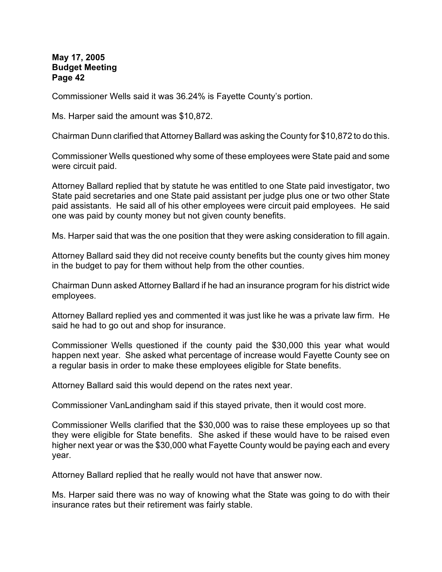Commissioner Wells said it was 36.24% is Fayette County's portion.

Ms. Harper said the amount was \$10,872.

Chairman Dunn clarified that Attorney Ballard was asking the County for \$10,872 to do this.

Commissioner Wells questioned why some of these employees were State paid and some were circuit paid.

Attorney Ballard replied that by statute he was entitled to one State paid investigator, two State paid secretaries and one State paid assistant per judge plus one or two other State paid assistants. He said all of his other employees were circuit paid employees. He said one was paid by county money but not given county benefits.

Ms. Harper said that was the one position that they were asking consideration to fill again.

Attorney Ballard said they did not receive county benefits but the county gives him money in the budget to pay for them without help from the other counties.

Chairman Dunn asked Attorney Ballard if he had an insurance program for his district wide employees.

Attorney Ballard replied yes and commented it was just like he was a private law firm. He said he had to go out and shop for insurance.

Commissioner Wells questioned if the county paid the \$30,000 this year what would happen next year. She asked what percentage of increase would Fayette County see on a regular basis in order to make these employees eligible for State benefits.

Attorney Ballard said this would depend on the rates next year.

Commissioner VanLandingham said if this stayed private, then it would cost more.

Commissioner Wells clarified that the \$30,000 was to raise these employees up so that they were eligible for State benefits. She asked if these would have to be raised even higher next year or was the \$30,000 what Fayette County would be paying each and every year.

Attorney Ballard replied that he really would not have that answer now.

Ms. Harper said there was no way of knowing what the State was going to do with their insurance rates but their retirement was fairly stable.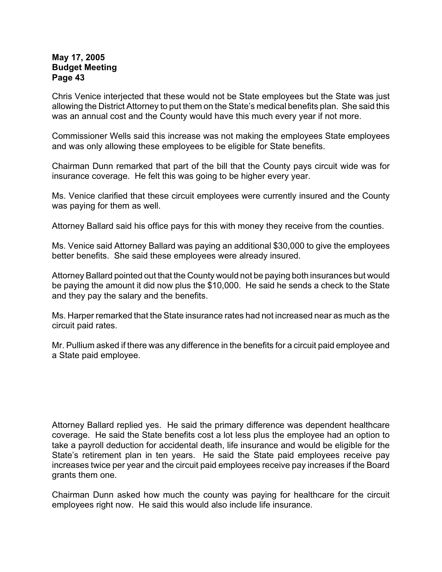Chris Venice interjected that these would not be State employees but the State was just allowing the District Attorney to put them on the State's medical benefits plan. She said this was an annual cost and the County would have this much every year if not more.

Commissioner Wells said this increase was not making the employees State employees and was only allowing these employees to be eligible for State benefits.

Chairman Dunn remarked that part of the bill that the County pays circuit wide was for insurance coverage. He felt this was going to be higher every year.

Ms. Venice clarified that these circuit employees were currently insured and the County was paying for them as well.

Attorney Ballard said his office pays for this with money they receive from the counties.

Ms. Venice said Attorney Ballard was paying an additional \$30,000 to give the employees better benefits. She said these employees were already insured.

Attorney Ballard pointed out that the County would not be paying both insurances but would be paying the amount it did now plus the \$10,000. He said he sends a check to the State and they pay the salary and the benefits.

Ms. Harper remarked that the State insurance rates had not increased near as much as the circuit paid rates.

Mr. Pullium asked if there was any difference in the benefits for a circuit paid employee and a State paid employee.

Attorney Ballard replied yes. He said the primary difference was dependent healthcare coverage. He said the State benefits cost a lot less plus the employee had an option to take a payroll deduction for accidental death, life insurance and would be eligible for the State's retirement plan in ten years. He said the State paid employees receive pay increases twice per year and the circuit paid employees receive pay increases if the Board grants them one.

Chairman Dunn asked how much the county was paying for healthcare for the circuit employees right now. He said this would also include life insurance.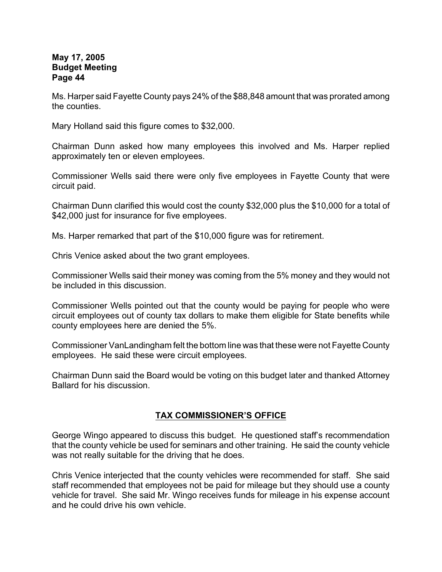Ms. Harper said Fayette County pays 24% of the \$88,848 amount that was prorated among the counties.

Mary Holland said this figure comes to \$32,000.

Chairman Dunn asked how many employees this involved and Ms. Harper replied approximately ten or eleven employees.

Commissioner Wells said there were only five employees in Fayette County that were circuit paid.

Chairman Dunn clarified this would cost the county \$32,000 plus the \$10,000 for a total of \$42,000 just for insurance for five employees.

Ms. Harper remarked that part of the \$10,000 figure was for retirement.

Chris Venice asked about the two grant employees.

Commissioner Wells said their money was coming from the 5% money and they would not be included in this discussion.

Commissioner Wells pointed out that the county would be paying for people who were circuit employees out of county tax dollars to make them eligible for State benefits while county employees here are denied the 5%.

Commissioner VanLandingham felt the bottom line was that these were not Fayette County employees. He said these were circuit employees.

Chairman Dunn said the Board would be voting on this budget later and thanked Attorney Ballard for his discussion.

## **TAX COMMISSIONER'S OFFICE**

George Wingo appeared to discuss this budget. He questioned staff's recommendation that the county vehicle be used for seminars and other training. He said the county vehicle was not really suitable for the driving that he does.

Chris Venice interjected that the county vehicles were recommended for staff. She said staff recommended that employees not be paid for mileage but they should use a county vehicle for travel. She said Mr. Wingo receives funds for mileage in his expense account and he could drive his own vehicle.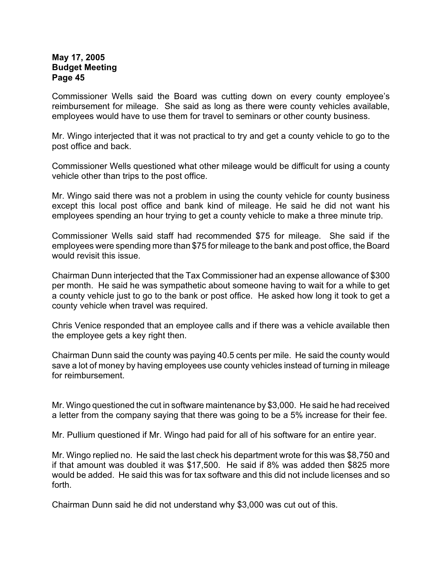Commissioner Wells said the Board was cutting down on every county employee's reimbursement for mileage. She said as long as there were county vehicles available, employees would have to use them for travel to seminars or other county business.

Mr. Wingo interjected that it was not practical to try and get a county vehicle to go to the post office and back.

Commissioner Wells questioned what other mileage would be difficult for using a county vehicle other than trips to the post office.

Mr. Wingo said there was not a problem in using the county vehicle for county business except this local post office and bank kind of mileage. He said he did not want his employees spending an hour trying to get a county vehicle to make a three minute trip.

Commissioner Wells said staff had recommended \$75 for mileage. She said if the employees were spending more than \$75 for mileage to the bank and post office, the Board would revisit this issue.

Chairman Dunn interjected that the Tax Commissioner had an expense allowance of \$300 per month. He said he was sympathetic about someone having to wait for a while to get a county vehicle just to go to the bank or post office. He asked how long it took to get a county vehicle when travel was required.

Chris Venice responded that an employee calls and if there was a vehicle available then the employee gets a key right then.

Chairman Dunn said the county was paying 40.5 cents per mile. He said the county would save a lot of money by having employees use county vehicles instead of turning in mileage for reimbursement.

Mr. Wingo questioned the cut in software maintenance by \$3,000. He said he had received a letter from the company saying that there was going to be a 5% increase for their fee.

Mr. Pullium questioned if Mr. Wingo had paid for all of his software for an entire year.

Mr. Wingo replied no. He said the last check his department wrote for this was \$8,750 and if that amount was doubled it was \$17,500. He said if 8% was added then \$825 more would be added. He said this was for tax software and this did not include licenses and so forth.

Chairman Dunn said he did not understand why \$3,000 was cut out of this.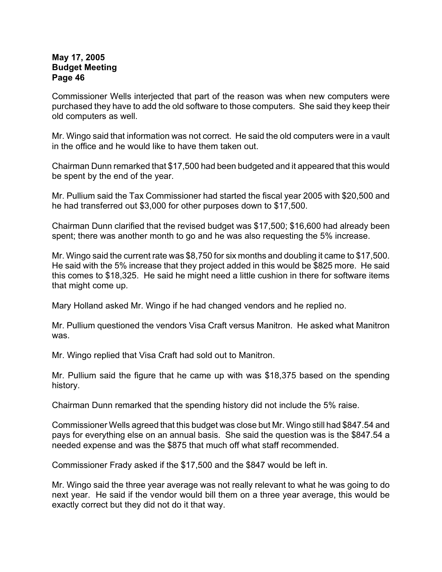Commissioner Wells interjected that part of the reason was when new computers were purchased they have to add the old software to those computers. She said they keep their old computers as well.

Mr. Wingo said that information was not correct. He said the old computers were in a vault in the office and he would like to have them taken out.

Chairman Dunn remarked that \$17,500 had been budgeted and it appeared that this would be spent by the end of the year.

Mr. Pullium said the Tax Commissioner had started the fiscal year 2005 with \$20,500 and he had transferred out \$3,000 for other purposes down to \$17,500.

Chairman Dunn clarified that the revised budget was \$17,500; \$16,600 had already been spent; there was another month to go and he was also requesting the 5% increase.

Mr. Wingo said the current rate was \$8,750 for six months and doubling it came to \$17,500. He said with the 5% increase that they project added in this would be \$825 more. He said this comes to \$18,325. He said he might need a little cushion in there for software items that might come up.

Mary Holland asked Mr. Wingo if he had changed vendors and he replied no.

Mr. Pullium questioned the vendors Visa Craft versus Manitron. He asked what Manitron was.

Mr. Wingo replied that Visa Craft had sold out to Manitron.

Mr. Pullium said the figure that he came up with was \$18,375 based on the spending history.

Chairman Dunn remarked that the spending history did not include the 5% raise.

Commissioner Wells agreed that this budget was close but Mr. Wingo still had \$847.54 and pays for everything else on an annual basis. She said the question was is the \$847.54 a needed expense and was the \$875 that much off what staff recommended.

Commissioner Frady asked if the \$17,500 and the \$847 would be left in.

Mr. Wingo said the three year average was not really relevant to what he was going to do next year. He said if the vendor would bill them on a three year average, this would be exactly correct but they did not do it that way.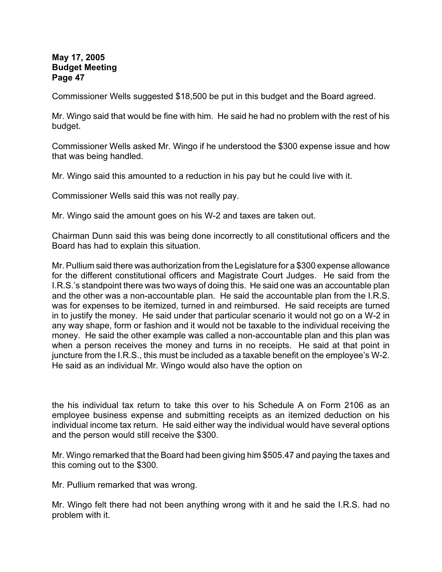Commissioner Wells suggested \$18,500 be put in this budget and the Board agreed.

Mr. Wingo said that would be fine with him. He said he had no problem with the rest of his budget.

Commissioner Wells asked Mr. Wingo if he understood the \$300 expense issue and how that was being handled.

Mr. Wingo said this amounted to a reduction in his pay but he could live with it.

Commissioner Wells said this was not really pay.

Mr. Wingo said the amount goes on his W-2 and taxes are taken out.

Chairman Dunn said this was being done incorrectly to all constitutional officers and the Board has had to explain this situation.

Mr. Pullium said there was authorization from the Legislature for a \$300 expense allowance for the different constitutional officers and Magistrate Court Judges. He said from the I.R.S.'s standpoint there was two ways of doing this. He said one was an accountable plan and the other was a non-accountable plan. He said the accountable plan from the I.R.S. was for expenses to be itemized, turned in and reimbursed. He said receipts are turned in to justify the money. He said under that particular scenario it would not go on a W-2 in any way shape, form or fashion and it would not be taxable to the individual receiving the money. He said the other example was called a non-accountable plan and this plan was when a person receives the money and turns in no receipts. He said at that point in juncture from the I.R.S., this must be included as a taxable benefit on the employee's W-2. He said as an individual Mr. Wingo would also have the option on

the his individual tax return to take this over to his Schedule A on Form 2106 as an employee business expense and submitting receipts as an itemized deduction on his individual income tax return. He said either way the individual would have several options and the person would still receive the \$300.

Mr. Wingo remarked that the Board had been giving him \$505.47 and paying the taxes and this coming out to the \$300.

Mr. Pullium remarked that was wrong.

Mr. Wingo felt there had not been anything wrong with it and he said the I.R.S. had no problem with it.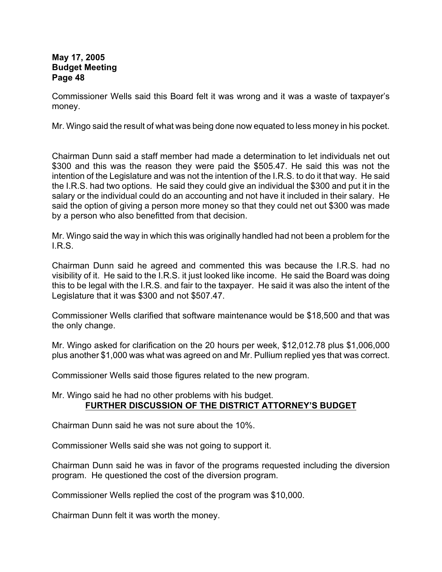Commissioner Wells said this Board felt it was wrong and it was a waste of taxpayer's money.

Mr. Wingo said the result of what was being done now equated to less money in his pocket.

Chairman Dunn said a staff member had made a determination to let individuals net out \$300 and this was the reason they were paid the \$505.47. He said this was not the intention of the Legislature and was not the intention of the I.R.S. to do it that way. He said the I.R.S. had two options. He said they could give an individual the \$300 and put it in the salary or the individual could do an accounting and not have it included in their salary. He said the option of giving a person more money so that they could net out \$300 was made by a person who also benefitted from that decision.

Mr. Wingo said the way in which this was originally handled had not been a problem for the I.R.S.

Chairman Dunn said he agreed and commented this was because the I.R.S. had no visibility of it. He said to the I.R.S. it just looked like income. He said the Board was doing this to be legal with the I.R.S. and fair to the taxpayer. He said it was also the intent of the Legislature that it was \$300 and not \$507.47.

Commissioner Wells clarified that software maintenance would be \$18,500 and that was the only change.

Mr. Wingo asked for clarification on the 20 hours per week, \$12,012.78 plus \$1,006,000 plus another \$1,000 was what was agreed on and Mr. Pullium replied yes that was correct.

Commissioner Wells said those figures related to the new program.

Mr. Wingo said he had no other problems with his budget. **FURTHER DISCUSSION OF THE DISTRICT ATTORNEY'S BUDGET**

Chairman Dunn said he was not sure about the 10%.

Commissioner Wells said she was not going to support it.

Chairman Dunn said he was in favor of the programs requested including the diversion program. He questioned the cost of the diversion program.

Commissioner Wells replied the cost of the program was \$10,000.

Chairman Dunn felt it was worth the money.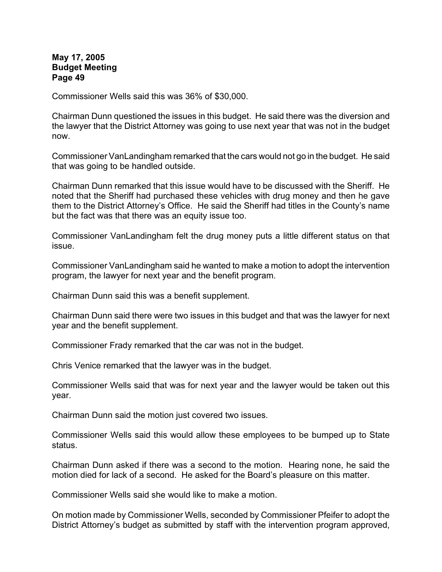Commissioner Wells said this was 36% of \$30,000.

Chairman Dunn questioned the issues in this budget. He said there was the diversion and the lawyer that the District Attorney was going to use next year that was not in the budget now.

Commissioner VanLandingham remarked that the cars would not go in the budget. He said that was going to be handled outside.

Chairman Dunn remarked that this issue would have to be discussed with the Sheriff. He noted that the Sheriff had purchased these vehicles with drug money and then he gave them to the District Attorney's Office. He said the Sheriff had titles in the County's name but the fact was that there was an equity issue too.

Commissioner VanLandingham felt the drug money puts a little different status on that issue.

Commissioner VanLandingham said he wanted to make a motion to adopt the intervention program, the lawyer for next year and the benefit program.

Chairman Dunn said this was a benefit supplement.

Chairman Dunn said there were two issues in this budget and that was the lawyer for next year and the benefit supplement.

Commissioner Frady remarked that the car was not in the budget.

Chris Venice remarked that the lawyer was in the budget.

Commissioner Wells said that was for next year and the lawyer would be taken out this year.

Chairman Dunn said the motion just covered two issues.

Commissioner Wells said this would allow these employees to be bumped up to State status.

Chairman Dunn asked if there was a second to the motion. Hearing none, he said the motion died for lack of a second. He asked for the Board's pleasure on this matter.

Commissioner Wells said she would like to make a motion.

On motion made by Commissioner Wells, seconded by Commissioner Pfeifer to adopt the District Attorney's budget as submitted by staff with the intervention program approved,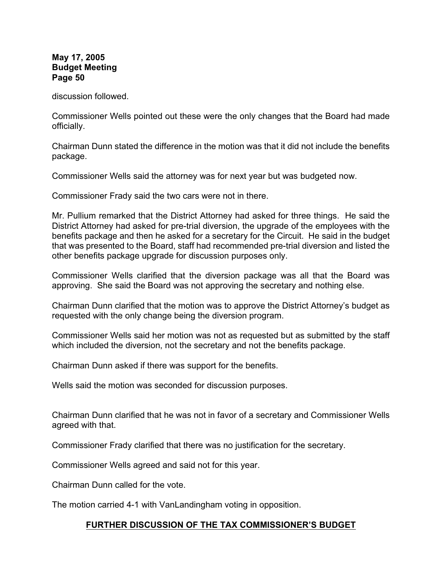discussion followed.

Commissioner Wells pointed out these were the only changes that the Board had made officially.

Chairman Dunn stated the difference in the motion was that it did not include the benefits package.

Commissioner Wells said the attorney was for next year but was budgeted now.

Commissioner Frady said the two cars were not in there.

Mr. Pullium remarked that the District Attorney had asked for three things. He said the District Attorney had asked for pre-trial diversion, the upgrade of the employees with the benefits package and then he asked for a secretary for the Circuit. He said in the budget that was presented to the Board, staff had recommended pre-trial diversion and listed the other benefits package upgrade for discussion purposes only.

Commissioner Wells clarified that the diversion package was all that the Board was approving. She said the Board was not approving the secretary and nothing else.

Chairman Dunn clarified that the motion was to approve the District Attorney's budget as requested with the only change being the diversion program.

Commissioner Wells said her motion was not as requested but as submitted by the staff which included the diversion, not the secretary and not the benefits package.

Chairman Dunn asked if there was support for the benefits.

Wells said the motion was seconded for discussion purposes.

Chairman Dunn clarified that he was not in favor of a secretary and Commissioner Wells agreed with that.

Commissioner Frady clarified that there was no justification for the secretary.

Commissioner Wells agreed and said not for this year.

Chairman Dunn called for the vote.

The motion carried 4-1 with VanLandingham voting in opposition.

## **FURTHER DISCUSSION OF THE TAX COMMISSIONER'S BUDGET**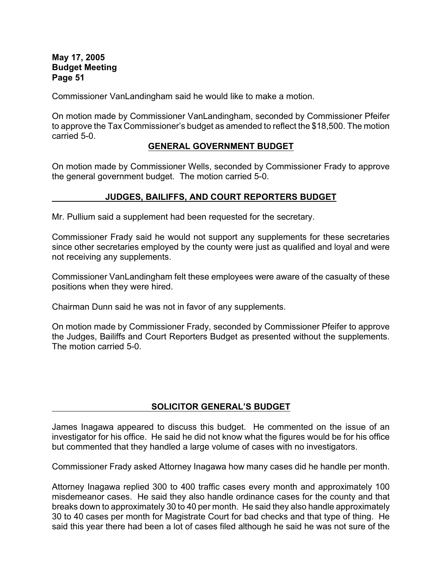Commissioner VanLandingham said he would like to make a motion.

On motion made by Commissioner VanLandingham, seconded by Commissioner Pfeifer to approve the Tax Commissioner's budget as amended to reflect the \$18,500. The motion carried 5-0.

#### **GENERAL GOVERNMENT BUDGET**

On motion made by Commissioner Wells, seconded by Commissioner Frady to approve the general government budget. The motion carried 5-0.

## **JUDGES, BAILIFFS, AND COURT REPORTERS BUDGET**

Mr. Pullium said a supplement had been requested for the secretary.

Commissioner Frady said he would not support any supplements for these secretaries since other secretaries employed by the county were just as qualified and loyal and were not receiving any supplements.

Commissioner VanLandingham felt these employees were aware of the casualty of these positions when they were hired.

Chairman Dunn said he was not in favor of any supplements.

On motion made by Commissioner Frady, seconded by Commissioner Pfeifer to approve the Judges, Bailiffs and Court Reporters Budget as presented without the supplements. The motion carried 5-0.

## **SOLICITOR GENERAL'S BUDGET**

James Inagawa appeared to discuss this budget. He commented on the issue of an investigator for his office. He said he did not know what the figures would be for his office but commented that they handled a large volume of cases with no investigators.

Commissioner Frady asked Attorney Inagawa how many cases did he handle per month.

Attorney Inagawa replied 300 to 400 traffic cases every month and approximately 100 misdemeanor cases. He said they also handle ordinance cases for the county and that breaks down to approximately 30 to 40 per month. He said they also handle approximately 30 to 40 cases per month for Magistrate Court for bad checks and that type of thing. He said this year there had been a lot of cases filed although he said he was not sure of the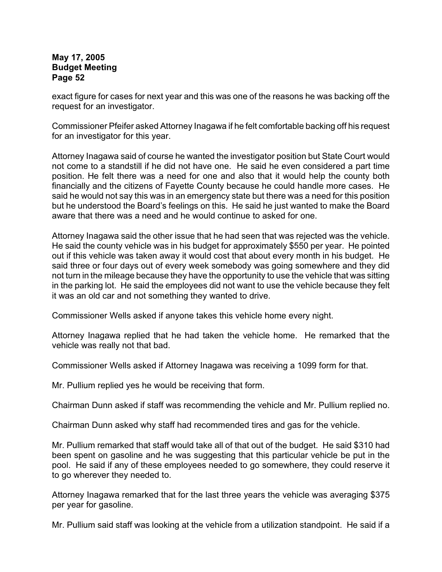exact figure for cases for next year and this was one of the reasons he was backing off the request for an investigator.

Commissioner Pfeifer asked Attorney Inagawa if he felt comfortable backing off his request for an investigator for this year.

Attorney Inagawa said of course he wanted the investigator position but State Court would not come to a standstill if he did not have one. He said he even considered a part time position. He felt there was a need for one and also that it would help the county both financially and the citizens of Fayette County because he could handle more cases. He said he would not say this was in an emergency state but there was a need for this position but he understood the Board's feelings on this. He said he just wanted to make the Board aware that there was a need and he would continue to asked for one.

Attorney Inagawa said the other issue that he had seen that was rejected was the vehicle. He said the county vehicle was in his budget for approximately \$550 per year. He pointed out if this vehicle was taken away it would cost that about every month in his budget. He said three or four days out of every week somebody was going somewhere and they did not turn in the mileage because they have the opportunity to use the vehicle that was sitting in the parking lot. He said the employees did not want to use the vehicle because they felt it was an old car and not something they wanted to drive.

Commissioner Wells asked if anyone takes this vehicle home every night.

Attorney Inagawa replied that he had taken the vehicle home. He remarked that the vehicle was really not that bad.

Commissioner Wells asked if Attorney Inagawa was receiving a 1099 form for that.

Mr. Pullium replied yes he would be receiving that form.

Chairman Dunn asked if staff was recommending the vehicle and Mr. Pullium replied no.

Chairman Dunn asked why staff had recommended tires and gas for the vehicle.

Mr. Pullium remarked that staff would take all of that out of the budget. He said \$310 had been spent on gasoline and he was suggesting that this particular vehicle be put in the pool. He said if any of these employees needed to go somewhere, they could reserve it to go wherever they needed to.

Attorney Inagawa remarked that for the last three years the vehicle was averaging \$375 per year for gasoline.

Mr. Pullium said staff was looking at the vehicle from a utilization standpoint. He said if a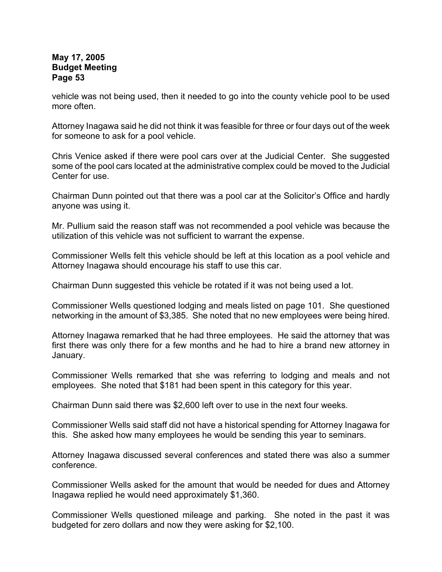vehicle was not being used, then it needed to go into the county vehicle pool to be used more often.

Attorney Inagawa said he did not think it was feasible for three or four days out of the week for someone to ask for a pool vehicle.

Chris Venice asked if there were pool cars over at the Judicial Center. She suggested some of the pool cars located at the administrative complex could be moved to the Judicial Center for use.

Chairman Dunn pointed out that there was a pool car at the Solicitor's Office and hardly anyone was using it.

Mr. Pullium said the reason staff was not recommended a pool vehicle was because the utilization of this vehicle was not sufficient to warrant the expense.

Commissioner Wells felt this vehicle should be left at this location as a pool vehicle and Attorney Inagawa should encourage his staff to use this car.

Chairman Dunn suggested this vehicle be rotated if it was not being used a lot.

Commissioner Wells questioned lodging and meals listed on page 101. She questioned networking in the amount of \$3,385. She noted that no new employees were being hired.

Attorney Inagawa remarked that he had three employees. He said the attorney that was first there was only there for a few months and he had to hire a brand new attorney in January.

Commissioner Wells remarked that she was referring to lodging and meals and not employees. She noted that \$181 had been spent in this category for this year.

Chairman Dunn said there was \$2,600 left over to use in the next four weeks.

Commissioner Wells said staff did not have a historical spending for Attorney Inagawa for this. She asked how many employees he would be sending this year to seminars.

Attorney Inagawa discussed several conferences and stated there was also a summer conference.

Commissioner Wells asked for the amount that would be needed for dues and Attorney Inagawa replied he would need approximately \$1,360.

Commissioner Wells questioned mileage and parking. She noted in the past it was budgeted for zero dollars and now they were asking for \$2,100.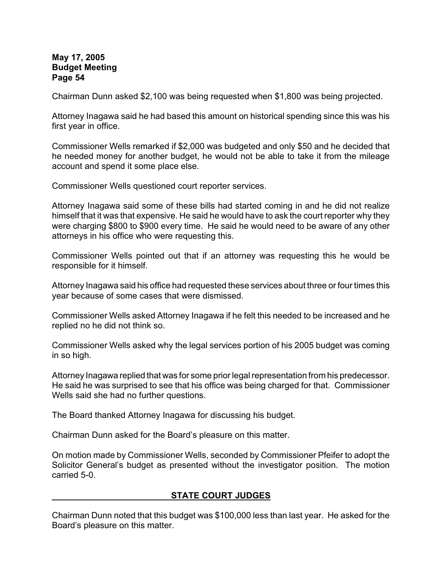Chairman Dunn asked \$2,100 was being requested when \$1,800 was being projected.

Attorney Inagawa said he had based this amount on historical spending since this was his first year in office.

Commissioner Wells remarked if \$2,000 was budgeted and only \$50 and he decided that he needed money for another budget, he would not be able to take it from the mileage account and spend it some place else.

Commissioner Wells questioned court reporter services.

Attorney Inagawa said some of these bills had started coming in and he did not realize himself that it was that expensive. He said he would have to ask the court reporter why they were charging \$800 to \$900 every time. He said he would need to be aware of any other attorneys in his office who were requesting this.

Commissioner Wells pointed out that if an attorney was requesting this he would be responsible for it himself.

Attorney Inagawa said his office had requested these services about three or four times this year because of some cases that were dismissed.

Commissioner Wells asked Attorney Inagawa if he felt this needed to be increased and he replied no he did not think so.

Commissioner Wells asked why the legal services portion of his 2005 budget was coming in so high.

Attorney Inagawa replied that was for some prior legal representation from his predecessor. He said he was surprised to see that his office was being charged for that. Commissioner Wells said she had no further questions.

The Board thanked Attorney Inagawa for discussing his budget.

Chairman Dunn asked for the Board's pleasure on this matter.

On motion made by Commissioner Wells, seconded by Commissioner Pfeifer to adopt the Solicitor General's budget as presented without the investigator position. The motion carried 5-0.

# **STATE COURT JUDGES**

Chairman Dunn noted that this budget was \$100,000 less than last year. He asked for the Board's pleasure on this matter.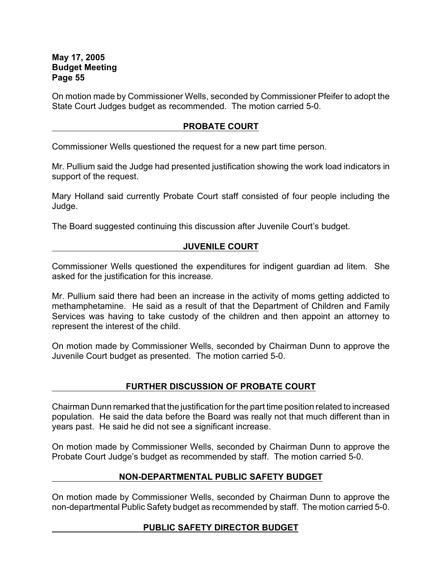On motion made by Commissioner Wells, seconded by Commissioner Pfeifer to adopt the State Court Judges budget as recommended. The motion carried 5-0.

## **PROBATE COURT**

Commissioner Wells questioned the request for a new part time person.

Mr. Pullium said the Judge had presented justification showing the work load indicators in support of the request.

Mary Holland said currently Probate Court staff consisted of four people including the Judge.

The Board suggested continuing this discussion after Juvenile Court's budget.

# **JUVENILE COURT**

Commissioner Wells questioned the expenditures for indigent guardian ad litem. She asked for the justification for this increase.

Mr. Pullium said there had been an increase in the activity of moms getting addicted to methamphetamine. He said as a result of that the Department of Children and Family Services was having to take custody of the children and then appoint an attorney to represent the interest of the child.

On motion made by Commissioner Wells, seconded by Chairman Dunn to approve the Juvenile Court budget as presented. The motion carried 5-0.

# **FURTHER DISCUSSION OF PROBATE COURT**

Chairman Dunn remarked that the justification for the part time position related to increased population. He said the data before the Board was really not that much different than in years past. He said he did not see a significant increase.

On motion made by Commissioner Wells, seconded by Chairman Dunn to approve the Probate Court Judge's budget as recommended by staff. The motion carried 5-0.

# **NON-DEPARTMENTAL PUBLIC SAFETY BUDGET**

On motion made by Commissioner Wells, seconded by Chairman Dunn to approve the non-departmental Public Safety budget as recommended by staff. The motion carried 5-0.

# **PUBLIC SAFETY DIRECTOR BUDGET**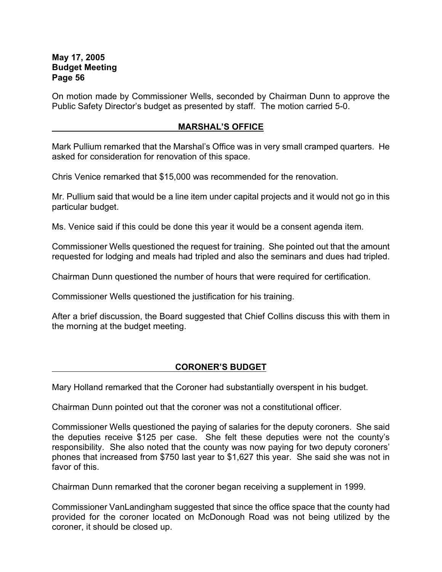On motion made by Commissioner Wells, seconded by Chairman Dunn to approve the Public Safety Director's budget as presented by staff. The motion carried 5-0.

# **MARSHAL'S OFFICE**

Mark Pullium remarked that the Marshal's Office was in very small cramped quarters. He asked for consideration for renovation of this space.

Chris Venice remarked that \$15,000 was recommended for the renovation.

Mr. Pullium said that would be a line item under capital projects and it would not go in this particular budget.

Ms. Venice said if this could be done this year it would be a consent agenda item.

Commissioner Wells questioned the request for training. She pointed out that the amount requested for lodging and meals had tripled and also the seminars and dues had tripled.

Chairman Dunn questioned the number of hours that were required for certification.

Commissioner Wells questioned the justification for his training.

After a brief discussion, the Board suggested that Chief Collins discuss this with them in the morning at the budget meeting.

# **CORONER'S BUDGET**

Mary Holland remarked that the Coroner had substantially overspent in his budget.

Chairman Dunn pointed out that the coroner was not a constitutional officer.

Commissioner Wells questioned the paying of salaries for the deputy coroners. She said the deputies receive \$125 per case. She felt these deputies were not the county's responsibility. She also noted that the county was now paying for two deputy coroners' phones that increased from \$750 last year to \$1,627 this year. She said she was not in favor of this.

Chairman Dunn remarked that the coroner began receiving a supplement in 1999.

Commissioner VanLandingham suggested that since the office space that the county had provided for the coroner located on McDonough Road was not being utilized by the coroner, it should be closed up.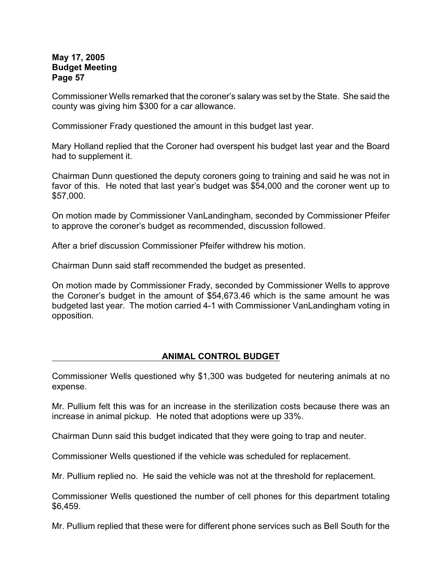Commissioner Wells remarked that the coroner's salary was set by the State. She said the county was giving him \$300 for a car allowance.

Commissioner Frady questioned the amount in this budget last year.

Mary Holland replied that the Coroner had overspent his budget last year and the Board had to supplement it.

Chairman Dunn questioned the deputy coroners going to training and said he was not in favor of this. He noted that last year's budget was \$54,000 and the coroner went up to \$57,000.

On motion made by Commissioner VanLandingham, seconded by Commissioner Pfeifer to approve the coroner's budget as recommended, discussion followed.

After a brief discussion Commissioner Pfeifer withdrew his motion.

Chairman Dunn said staff recommended the budget as presented.

On motion made by Commissioner Frady, seconded by Commissioner Wells to approve the Coroner's budget in the amount of \$54,673.46 which is the same amount he was budgeted last year. The motion carried 4-1 with Commissioner VanLandingham voting in opposition.

## **ANIMAL CONTROL BUDGET**

Commissioner Wells questioned why \$1,300 was budgeted for neutering animals at no expense.

Mr. Pullium felt this was for an increase in the sterilization costs because there was an increase in animal pickup. He noted that adoptions were up 33%.

Chairman Dunn said this budget indicated that they were going to trap and neuter.

Commissioner Wells questioned if the vehicle was scheduled for replacement.

Mr. Pullium replied no. He said the vehicle was not at the threshold for replacement.

Commissioner Wells questioned the number of cell phones for this department totaling \$6,459.

Mr. Pullium replied that these were for different phone services such as Bell South for the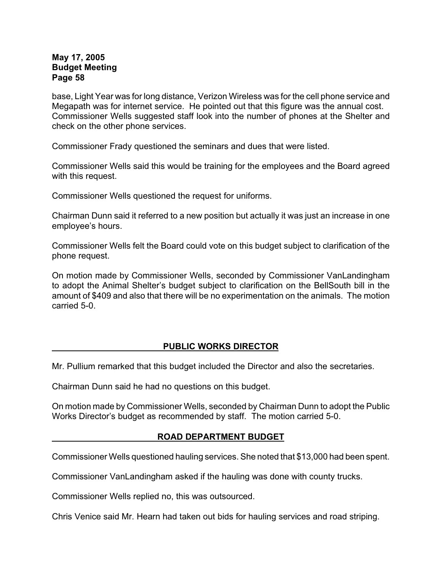base, Light Year was for long distance, Verizon Wireless was for the cell phone service and Megapath was for internet service. He pointed out that this figure was the annual cost. Commissioner Wells suggested staff look into the number of phones at the Shelter and check on the other phone services.

Commissioner Frady questioned the seminars and dues that were listed.

Commissioner Wells said this would be training for the employees and the Board agreed with this request.

Commissioner Wells questioned the request for uniforms.

Chairman Dunn said it referred to a new position but actually it was just an increase in one employee's hours.

Commissioner Wells felt the Board could vote on this budget subject to clarification of the phone request.

On motion made by Commissioner Wells, seconded by Commissioner VanLandingham to adopt the Animal Shelter's budget subject to clarification on the BellSouth bill in the amount of \$409 and also that there will be no experimentation on the animals. The motion carried 5-0.

## **PUBLIC WORKS DIRECTOR**

Mr. Pullium remarked that this budget included the Director and also the secretaries.

Chairman Dunn said he had no questions on this budget.

On motion made by Commissioner Wells, seconded by Chairman Dunn to adopt the Public Works Director's budget as recommended by staff. The motion carried 5-0.

## **ROAD DEPARTMENT BUDGET**

Commissioner Wells questioned hauling services. She noted that \$13,000 had been spent.

Commissioner VanLandingham asked if the hauling was done with county trucks.

Commissioner Wells replied no, this was outsourced.

Chris Venice said Mr. Hearn had taken out bids for hauling services and road striping.